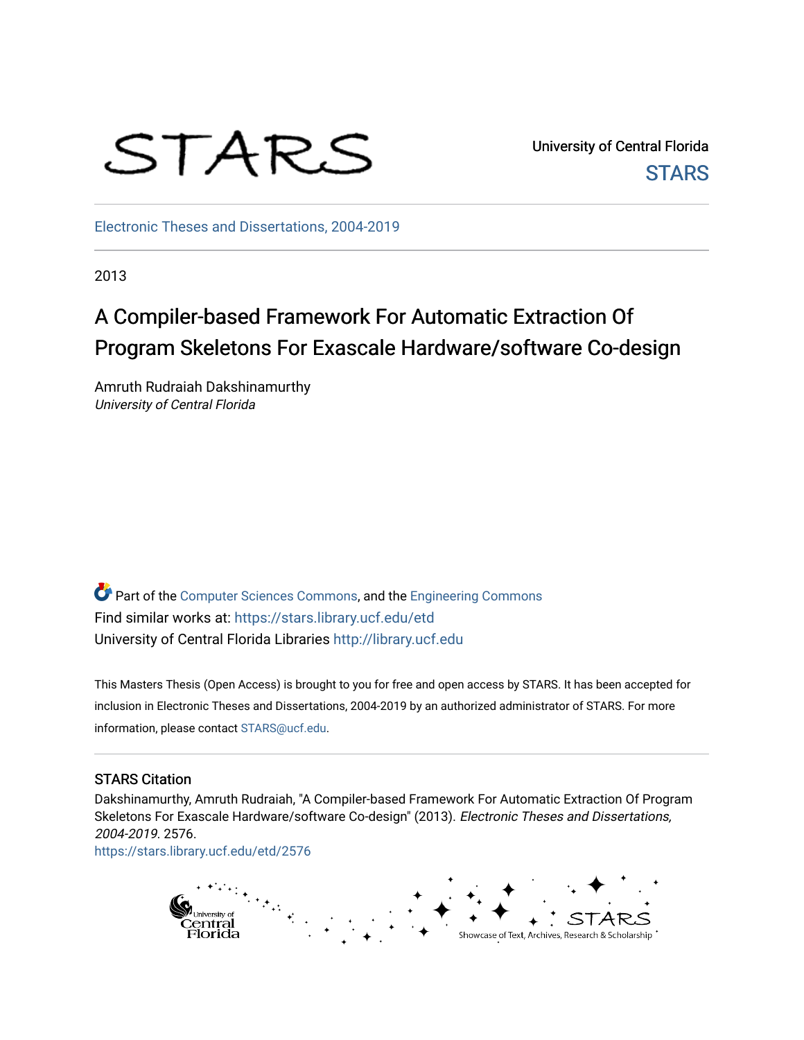# STARS

University of Central Florida **STARS** 

[Electronic Theses and Dissertations, 2004-2019](https://stars.library.ucf.edu/etd) 

2013

# A Compiler-based Framework For Automatic Extraction Of Program Skeletons For Exascale Hardware/software Co-design

Amruth Rudraiah Dakshinamurthy University of Central Florida

**C**<sup> $\bullet$ </sup> Part of the [Computer Sciences Commons](http://network.bepress.com/hgg/discipline/142?utm_source=stars.library.ucf.edu%2Fetd%2F2576&utm_medium=PDF&utm_campaign=PDFCoverPages), and the [Engineering Commons](http://network.bepress.com/hgg/discipline/217?utm_source=stars.library.ucf.edu%2Fetd%2F2576&utm_medium=PDF&utm_campaign=PDFCoverPages) Find similar works at: <https://stars.library.ucf.edu/etd> University of Central Florida Libraries [http://library.ucf.edu](http://library.ucf.edu/) 

This Masters Thesis (Open Access) is brought to you for free and open access by STARS. It has been accepted for inclusion in Electronic Theses and Dissertations, 2004-2019 by an authorized administrator of STARS. For more information, please contact [STARS@ucf.edu.](mailto:STARS@ucf.edu)

#### STARS Citation

Dakshinamurthy, Amruth Rudraiah, "A Compiler-based Framework For Automatic Extraction Of Program Skeletons For Exascale Hardware/software Co-design" (2013). Electronic Theses and Dissertations, 2004-2019. 2576.

[https://stars.library.ucf.edu/etd/2576](https://stars.library.ucf.edu/etd/2576?utm_source=stars.library.ucf.edu%2Fetd%2F2576&utm_medium=PDF&utm_campaign=PDFCoverPages) 

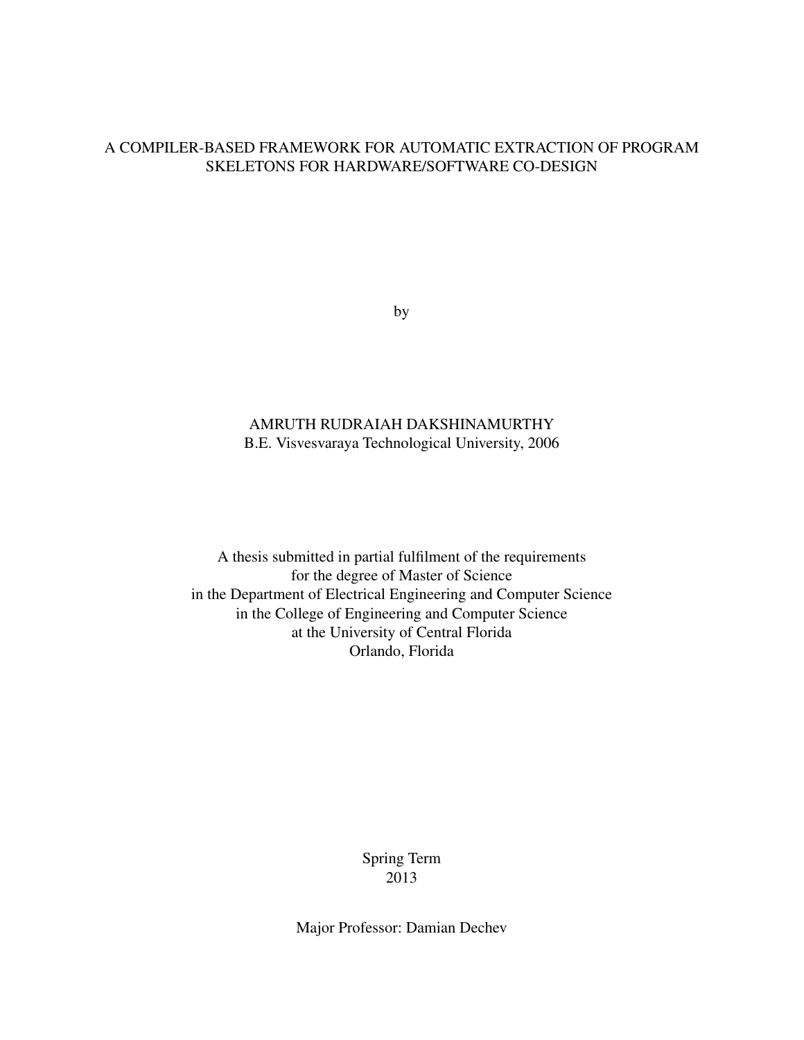### A COMPILER-BASED FRAMEWORK FOR AUTOMATIC EXTRACTION OF PROGRAM SKELETONS FOR HARDWARE/SOFTWARE CO-DESIGN

by

## AMRUTH RUDRAIAH DAKSHINAMURTHY B.E. Visvesvaraya Technological University, 2006

A thesis submitted in partial fulfilment of the requirements for the degree of Master of Science in the Department of Electrical Engineering and Computer Science in the College of Engineering and Computer Science at the University of Central Florida Orlando, Florida

> Spring Term 2013

Major Professor: Damian Dechev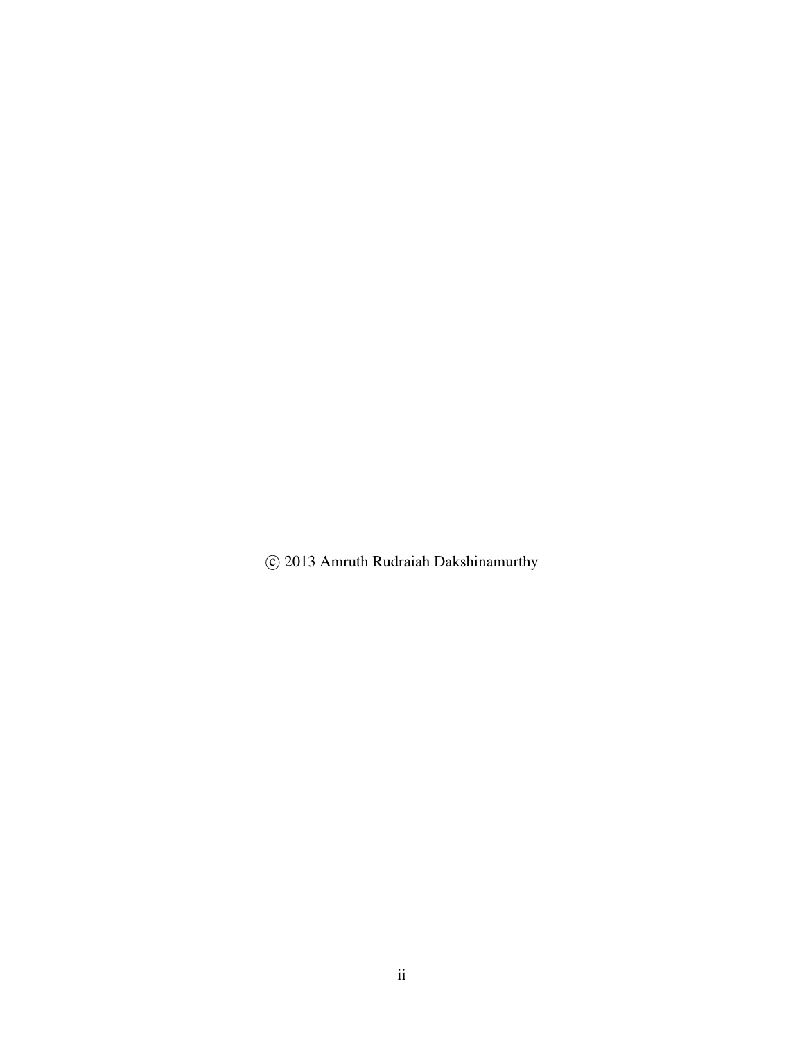$\copyright$  2013 Amruth Rudraiah Dakshinamurthy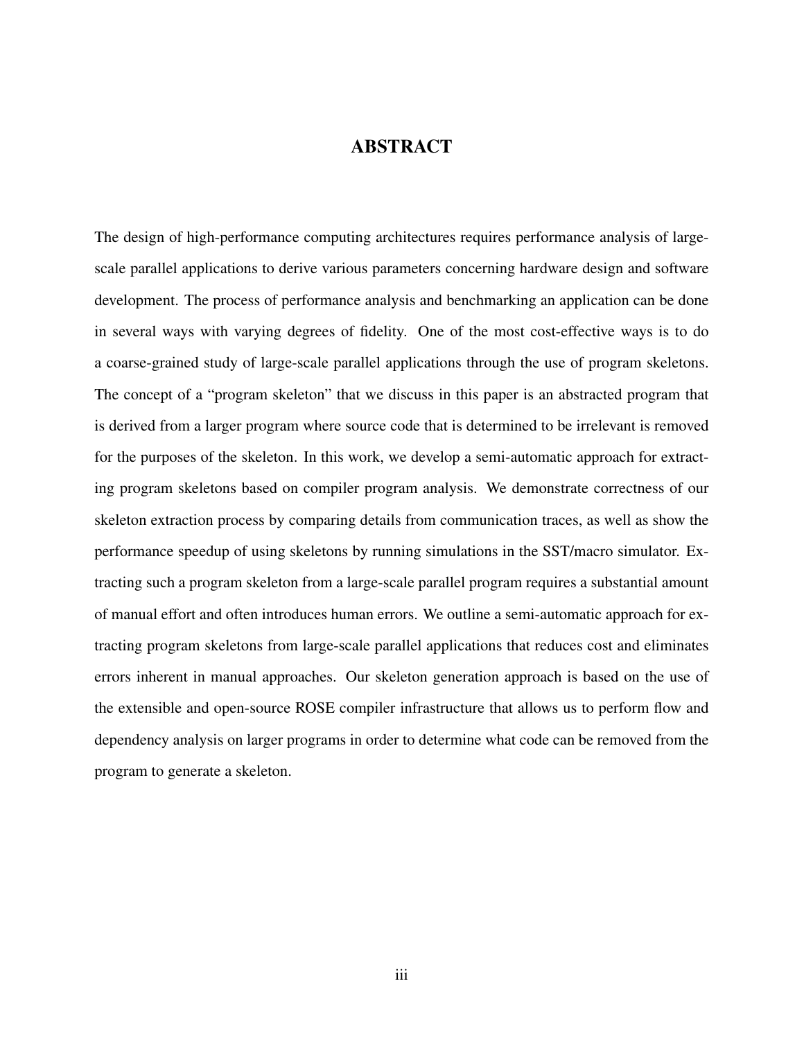# ABSTRACT

The design of high-performance computing architectures requires performance analysis of largescale parallel applications to derive various parameters concerning hardware design and software development. The process of performance analysis and benchmarking an application can be done in several ways with varying degrees of fidelity. One of the most cost-effective ways is to do a coarse-grained study of large-scale parallel applications through the use of program skeletons. The concept of a "program skeleton" that we discuss in this paper is an abstracted program that is derived from a larger program where source code that is determined to be irrelevant is removed for the purposes of the skeleton. In this work, we develop a semi-automatic approach for extracting program skeletons based on compiler program analysis. We demonstrate correctness of our skeleton extraction process by comparing details from communication traces, as well as show the performance speedup of using skeletons by running simulations in the SST/macro simulator. Extracting such a program skeleton from a large-scale parallel program requires a substantial amount of manual effort and often introduces human errors. We outline a semi-automatic approach for extracting program skeletons from large-scale parallel applications that reduces cost and eliminates errors inherent in manual approaches. Our skeleton generation approach is based on the use of the extensible and open-source ROSE compiler infrastructure that allows us to perform flow and dependency analysis on larger programs in order to determine what code can be removed from the program to generate a skeleton.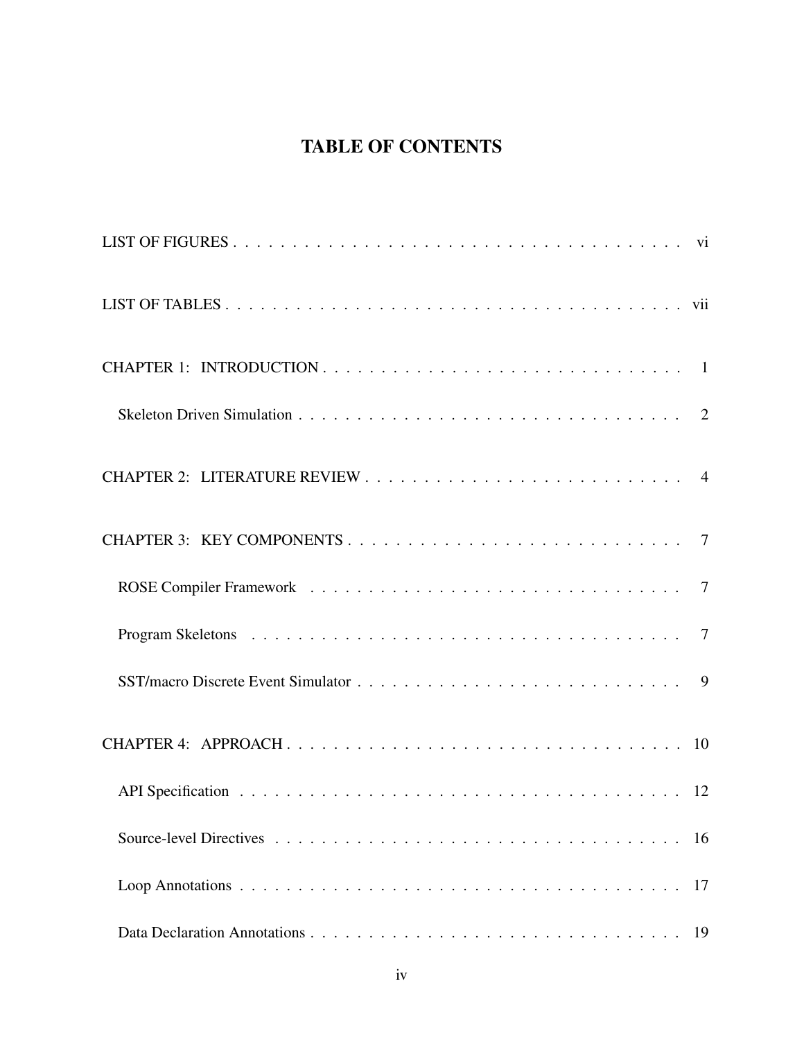# TABLE OF CONTENTS

| -17 |
|-----|
| 19  |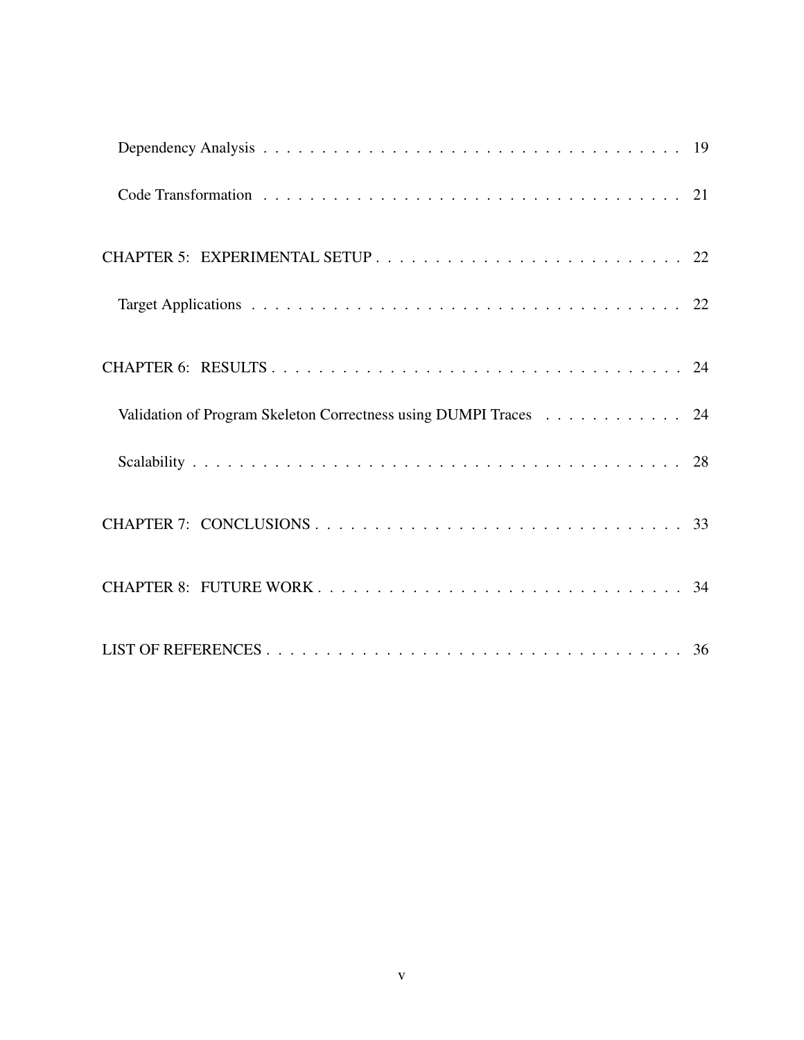| Validation of Program Skeleton Correctness using DUMPI Traces 24 |
|------------------------------------------------------------------|
|                                                                  |
|                                                                  |
|                                                                  |
|                                                                  |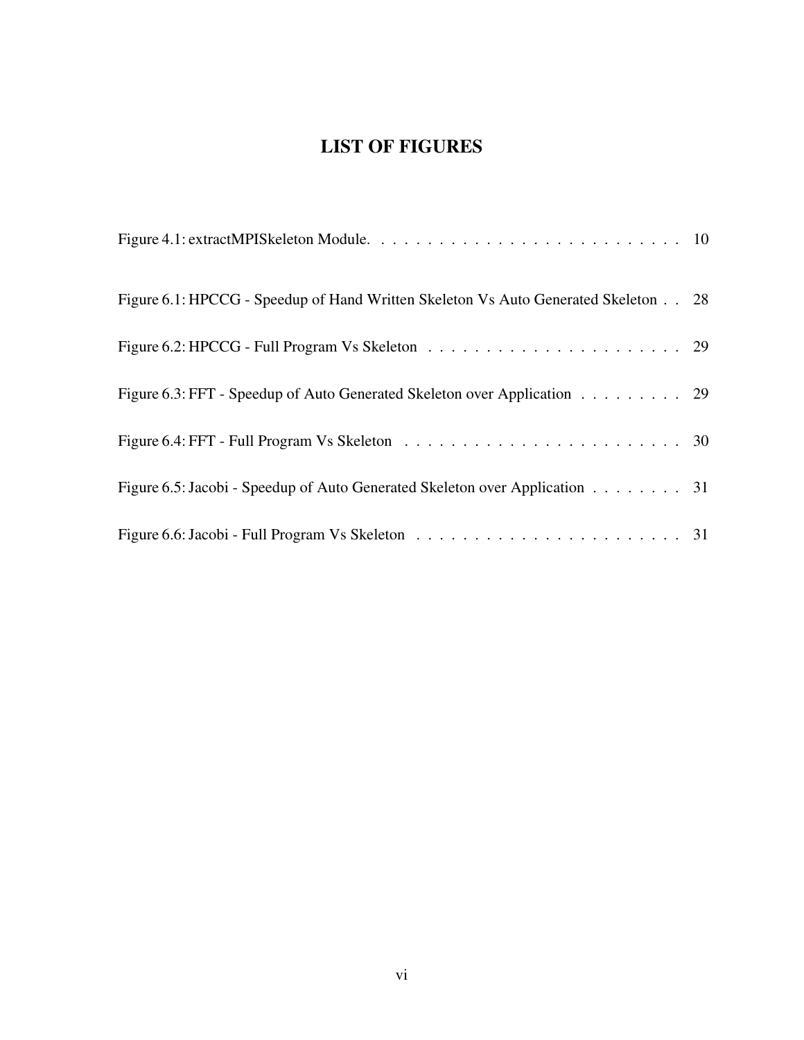# LIST OF FIGURES

<span id="page-6-0"></span>

| Figure 6.1: HPCCG - Speedup of Hand Written Skeleton Vs Auto Generated Skeleton 28 |  |
|------------------------------------------------------------------------------------|--|
|                                                                                    |  |
| Figure 6.3: FFT - Speedup of Auto Generated Skeleton over Application 29           |  |
|                                                                                    |  |
| Figure 6.5: Jacobi - Speedup of Auto Generated Skeleton over Application 31        |  |
|                                                                                    |  |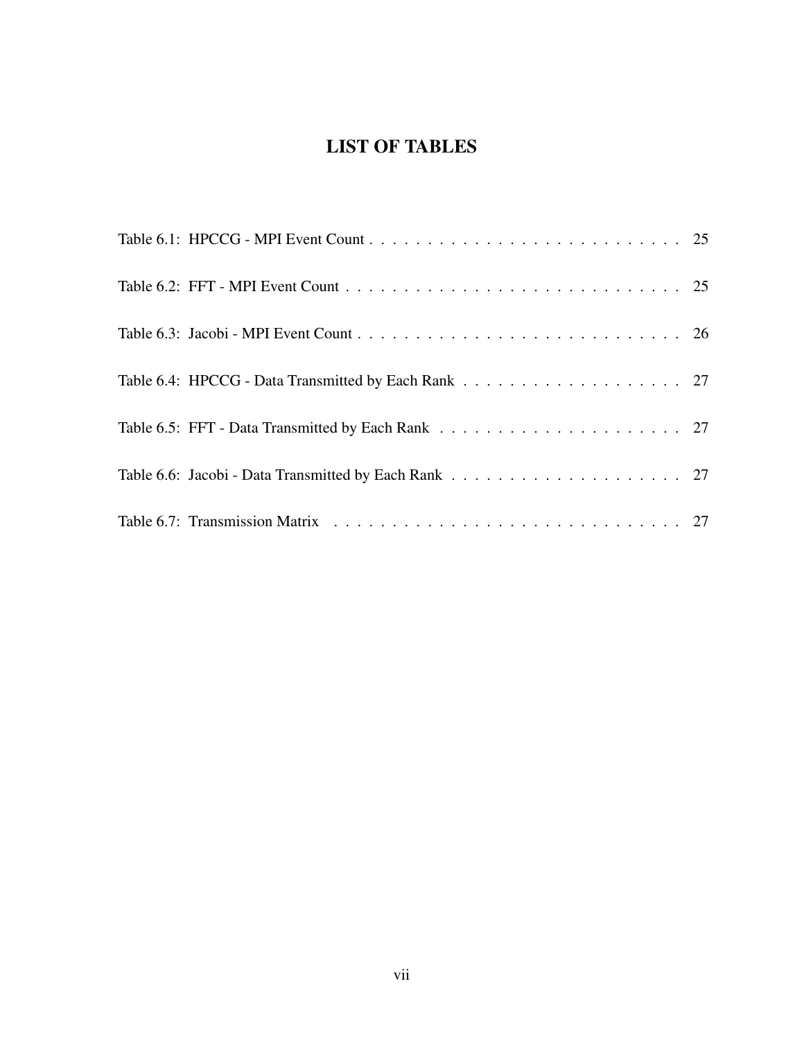# LIST OF TABLES

<span id="page-7-0"></span>

| Table 6.7: Transmission Matrix $\ldots \ldots \ldots \ldots \ldots \ldots \ldots \ldots \ldots \ldots \ldots 27$ |  |
|------------------------------------------------------------------------------------------------------------------|--|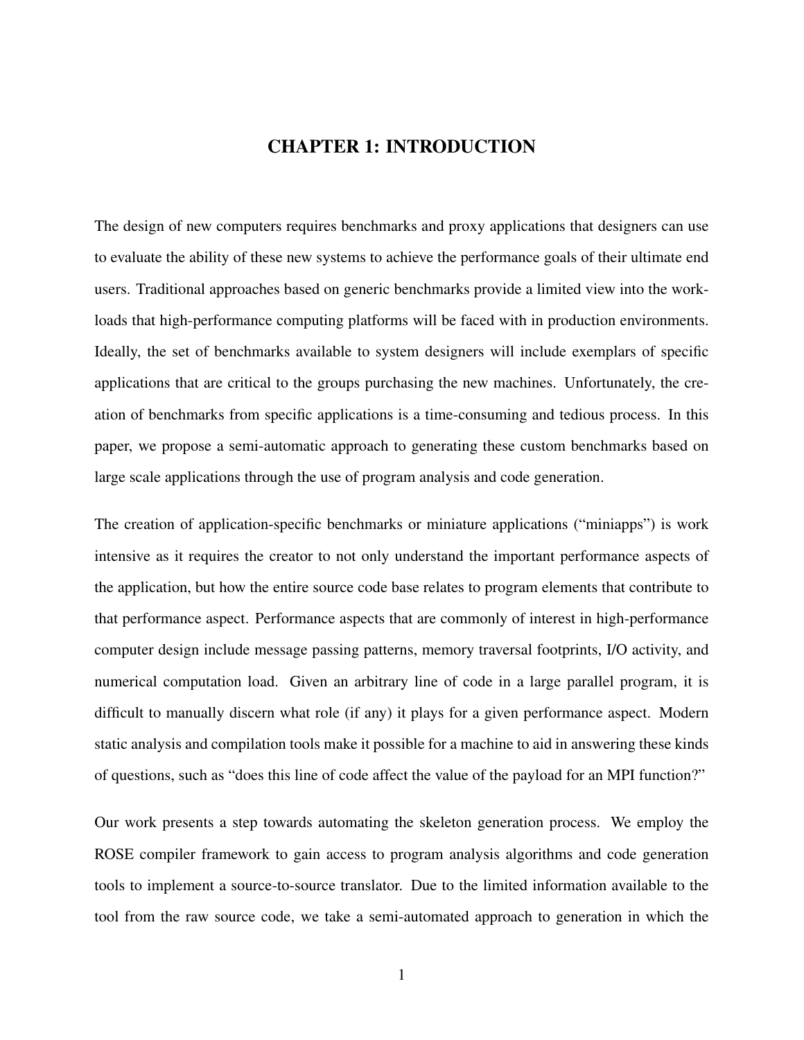# CHAPTER 1: INTRODUCTION

<span id="page-8-0"></span>The design of new computers requires benchmarks and proxy applications that designers can use to evaluate the ability of these new systems to achieve the performance goals of their ultimate end users. Traditional approaches based on generic benchmarks provide a limited view into the workloads that high-performance computing platforms will be faced with in production environments. Ideally, the set of benchmarks available to system designers will include exemplars of specific applications that are critical to the groups purchasing the new machines. Unfortunately, the creation of benchmarks from specific applications is a time-consuming and tedious process. In this paper, we propose a semi-automatic approach to generating these custom benchmarks based on large scale applications through the use of program analysis and code generation.

The creation of application-specific benchmarks or miniature applications ("miniapps") is work intensive as it requires the creator to not only understand the important performance aspects of the application, but how the entire source code base relates to program elements that contribute to that performance aspect. Performance aspects that are commonly of interest in high-performance computer design include message passing patterns, memory traversal footprints, I/O activity, and numerical computation load. Given an arbitrary line of code in a large parallel program, it is difficult to manually discern what role (if any) it plays for a given performance aspect. Modern static analysis and compilation tools make it possible for a machine to aid in answering these kinds of questions, such as "does this line of code affect the value of the payload for an MPI function?"

Our work presents a step towards automating the skeleton generation process. We employ the ROSE compiler framework to gain access to program analysis algorithms and code generation tools to implement a source-to-source translator. Due to the limited information available to the tool from the raw source code, we take a semi-automated approach to generation in which the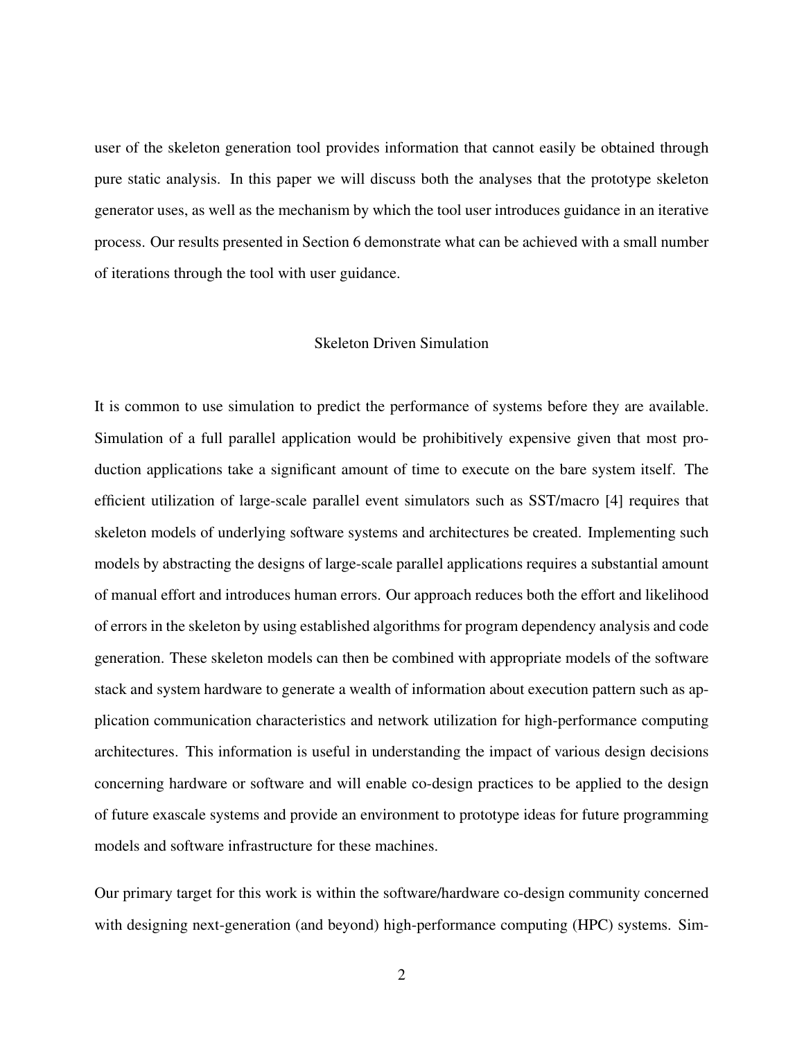user of the skeleton generation tool provides information that cannot easily be obtained through pure static analysis. In this paper we will discuss both the analyses that the prototype skeleton generator uses, as well as the mechanism by which the tool user introduces guidance in an iterative process. Our results presented in Section [6](#page-31-0) demonstrate what can be achieved with a small number of iterations through the tool with user guidance.

#### <span id="page-9-0"></span>Skeleton Driven Simulation

It is common to use simulation to predict the performance of systems before they are available. Simulation of a full parallel application would be prohibitively expensive given that most production applications take a significant amount of time to execute on the bare system itself. The efficient utilization of large-scale parallel event simulators such as SST/macro [\[4\]](#page-43-1) requires that skeleton models of underlying software systems and architectures be created. Implementing such models by abstracting the designs of large-scale parallel applications requires a substantial amount of manual effort and introduces human errors. Our approach reduces both the effort and likelihood of errors in the skeleton by using established algorithms for program dependency analysis and code generation. These skeleton models can then be combined with appropriate models of the software stack and system hardware to generate a wealth of information about execution pattern such as application communication characteristics and network utilization for high-performance computing architectures. This information is useful in understanding the impact of various design decisions concerning hardware or software and will enable co-design practices to be applied to the design of future exascale systems and provide an environment to prototype ideas for future programming models and software infrastructure for these machines.

Our primary target for this work is within the software/hardware co-design community concerned with designing next-generation (and beyond) high-performance computing (HPC) systems. Sim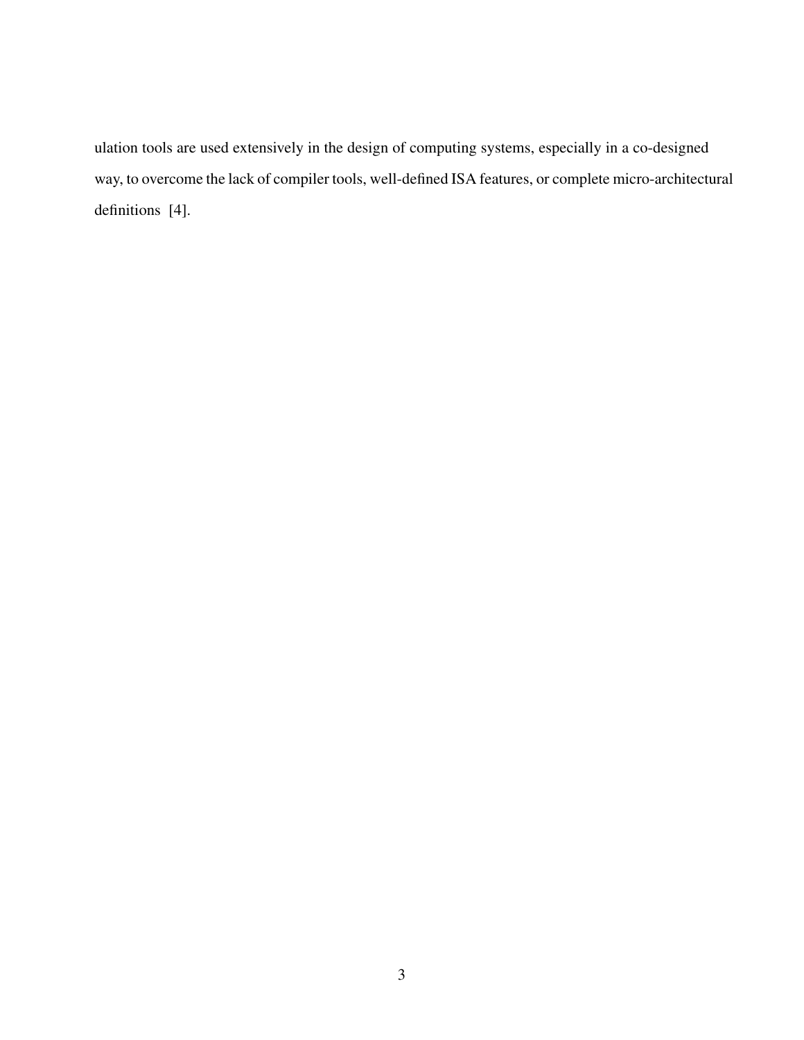ulation tools are used extensively in the design of computing systems, especially in a co-designed way, to overcome the lack of compiler tools, well-defined ISA features, or complete micro-architectural definitions [\[4\]](#page-43-1).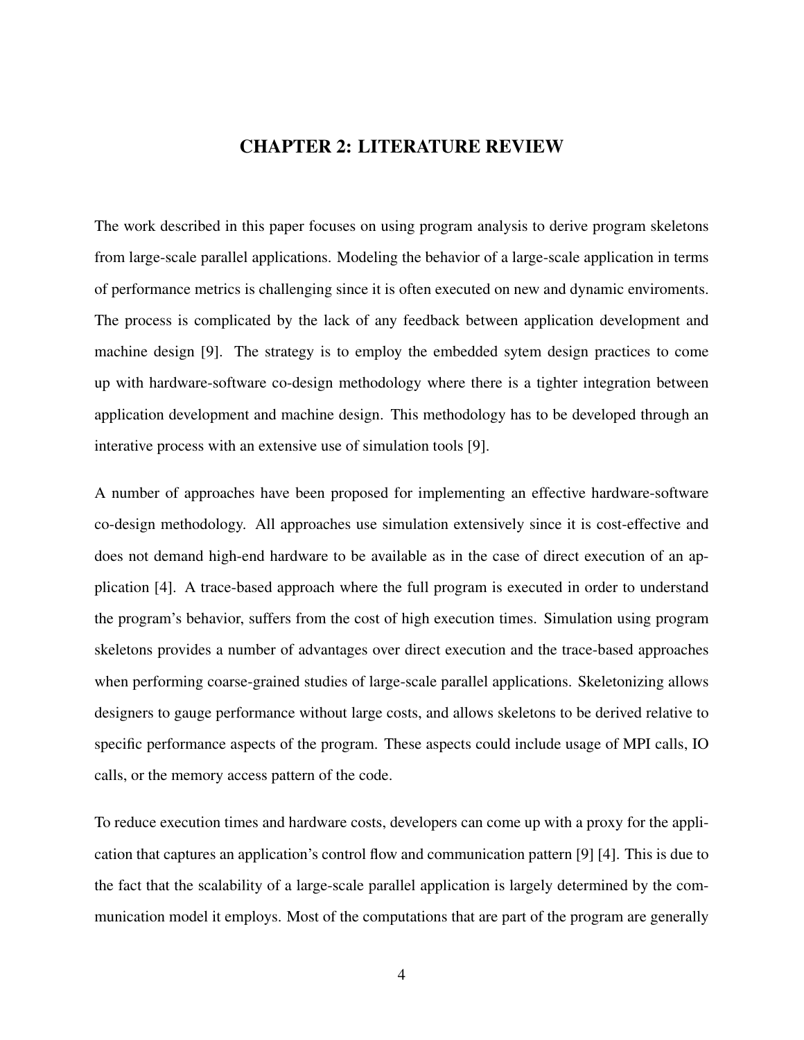# CHAPTER 2: LITERATURE REVIEW

<span id="page-11-0"></span>The work described in this paper focuses on using program analysis to derive program skeletons from large-scale parallel applications. Modeling the behavior of a large-scale application in terms of performance metrics is challenging since it is often executed on new and dynamic enviroments. The process is complicated by the lack of any feedback between application development and machine design [\[9\]](#page-43-2). The strategy is to employ the embedded sytem design practices to come up with hardware-software co-design methodology where there is a tighter integration between application development and machine design. This methodology has to be developed through an interative process with an extensive use of simulation tools [\[9\]](#page-43-2).

A number of approaches have been proposed for implementing an effective hardware-software co-design methodology. All approaches use simulation extensively since it is cost-effective and does not demand high-end hardware to be available as in the case of direct execution of an application [\[4\]](#page-43-1). A trace-based approach where the full program is executed in order to understand the program's behavior, suffers from the cost of high execution times. Simulation using program skeletons provides a number of advantages over direct execution and the trace-based approaches when performing coarse-grained studies of large-scale parallel applications. Skeletonizing allows designers to gauge performance without large costs, and allows skeletons to be derived relative to specific performance aspects of the program. These aspects could include usage of MPI calls, IO calls, or the memory access pattern of the code.

To reduce execution times and hardware costs, developers can come up with a proxy for the application that captures an application's control flow and communication pattern [\[9\]](#page-43-2) [\[4\]](#page-43-1). This is due to the fact that the scalability of a large-scale parallel application is largely determined by the communication model it employs. Most of the computations that are part of the program are generally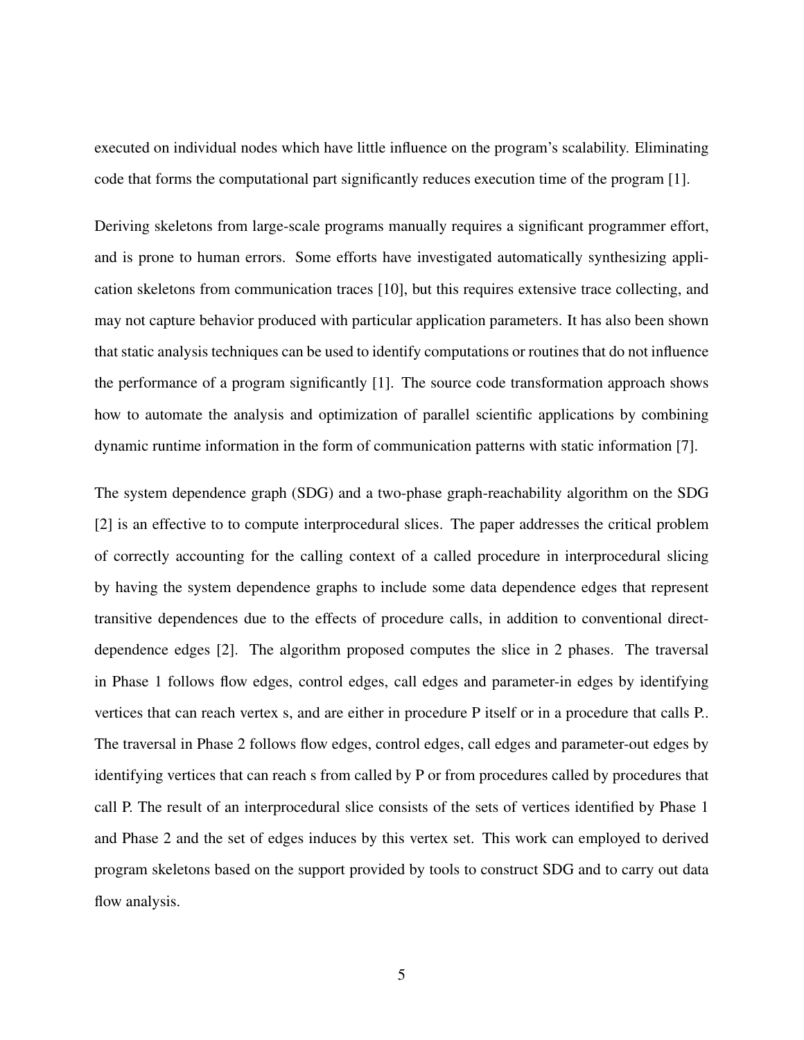executed on individual nodes which have little influence on the program's scalability. Eliminating code that forms the computational part significantly reduces execution time of the program [\[1\]](#page-43-3).

Deriving skeletons from large-scale programs manually requires a significant programmer effort, and is prone to human errors. Some efforts have investigated automatically synthesizing application skeletons from communication traces [\[10\]](#page-44-0), but this requires extensive trace collecting, and may not capture behavior produced with particular application parameters. It has also been shown that static analysis techniques can be used to identify computations or routines that do not influence the performance of a program significantly [\[1\]](#page-43-3). The source code transformation approach shows how to automate the analysis and optimization of parallel scientific applications by combining dynamic runtime information in the form of communication patterns with static information [\[7\]](#page-43-4).

The system dependence graph (SDG) and a two-phase graph-reachability algorithm on the SDG [\[2\]](#page-43-5) is an effective to to compute interprocedural slices. The paper addresses the critical problem of correctly accounting for the calling context of a called procedure in interprocedural slicing by having the system dependence graphs to include some data dependence edges that represent transitive dependences due to the effects of procedure calls, in addition to conventional directdependence edges [\[2\]](#page-43-5). The algorithm proposed computes the slice in 2 phases. The traversal in Phase 1 follows flow edges, control edges, call edges and parameter-in edges by identifying vertices that can reach vertex s, and are either in procedure P itself or in a procedure that calls P.. The traversal in Phase 2 follows flow edges, control edges, call edges and parameter-out edges by identifying vertices that can reach s from called by P or from procedures called by procedures that call P. The result of an interprocedural slice consists of the sets of vertices identified by Phase 1 and Phase 2 and the set of edges induces by this vertex set. This work can employed to derived program skeletons based on the support provided by tools to construct SDG and to carry out data flow analysis.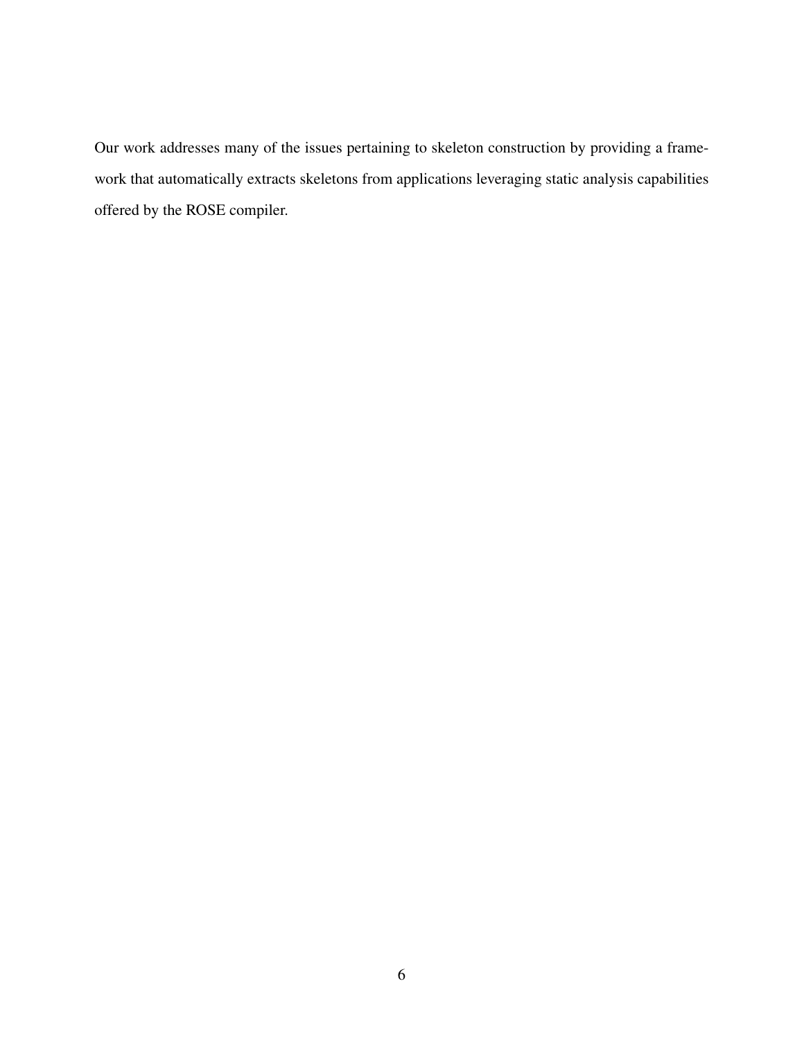Our work addresses many of the issues pertaining to skeleton construction by providing a framework that automatically extracts skeletons from applications leveraging static analysis capabilities offered by the ROSE compiler.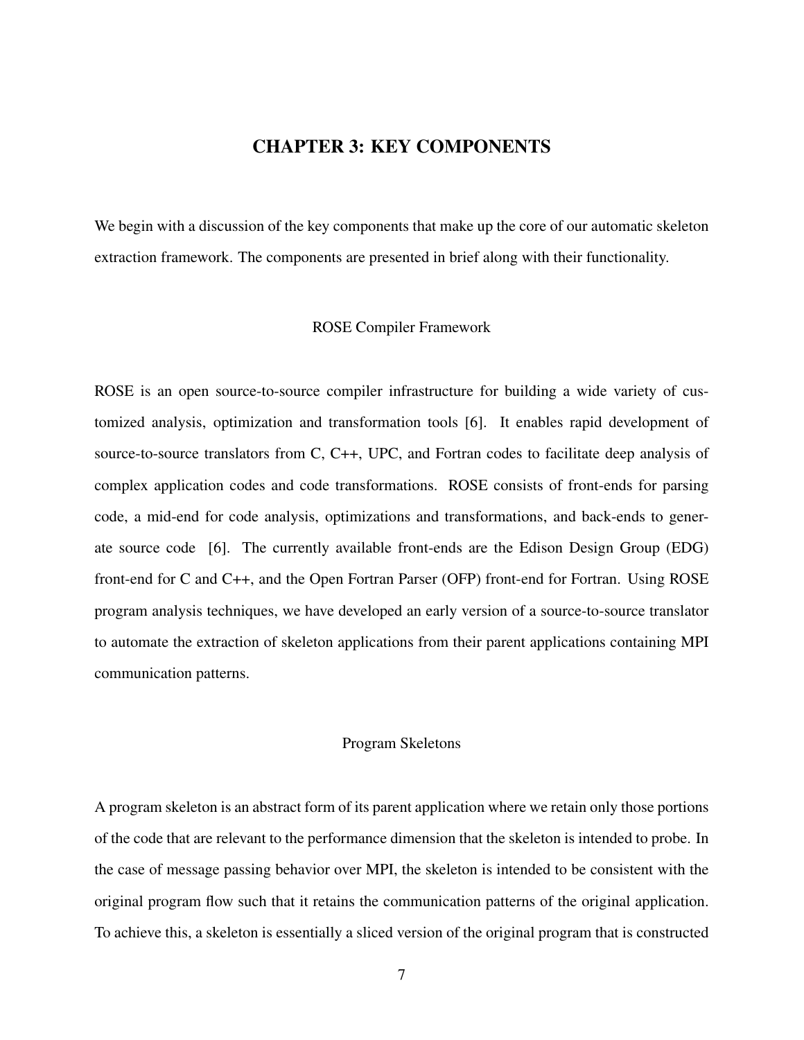# CHAPTER 3: KEY COMPONENTS

<span id="page-14-0"></span>We begin with a discussion of the key components that make up the core of our automatic skeleton extraction framework. The components are presented in brief along with their functionality.

#### <span id="page-14-1"></span>ROSE Compiler Framework

ROSE is an open source-to-source compiler infrastructure for building a wide variety of customized analysis, optimization and transformation tools [\[6\]](#page-43-6). It enables rapid development of source-to-source translators from C, C++, UPC, and Fortran codes to facilitate deep analysis of complex application codes and code transformations. ROSE consists of front-ends for parsing code, a mid-end for code analysis, optimizations and transformations, and back-ends to generate source code [\[6\]](#page-43-6). The currently available front-ends are the Edison Design Group (EDG) front-end for C and C++, and the Open Fortran Parser (OFP) front-end for Fortran. Using ROSE program analysis techniques, we have developed an early version of a source-to-source translator to automate the extraction of skeleton applications from their parent applications containing MPI communication patterns.

#### <span id="page-14-2"></span>Program Skeletons

A program skeleton is an abstract form of its parent application where we retain only those portions of the code that are relevant to the performance dimension that the skeleton is intended to probe. In the case of message passing behavior over MPI, the skeleton is intended to be consistent with the original program flow such that it retains the communication patterns of the original application. To achieve this, a skeleton is essentially a sliced version of the original program that is constructed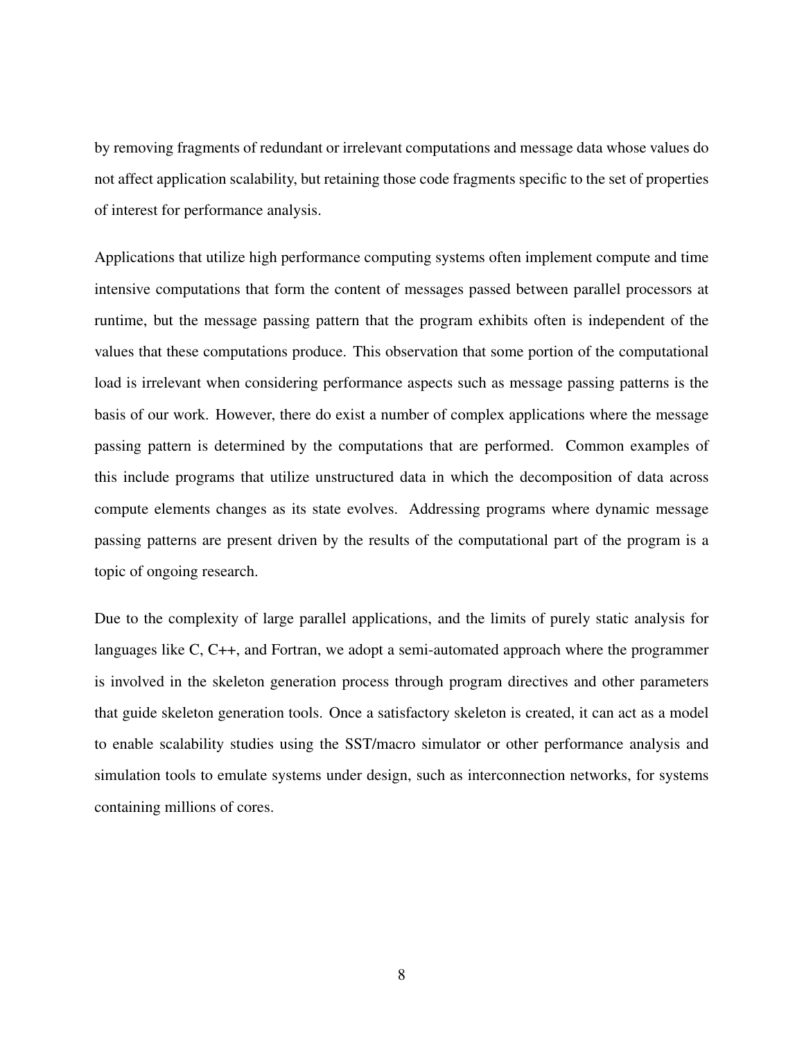by removing fragments of redundant or irrelevant computations and message data whose values do not affect application scalability, but retaining those code fragments specific to the set of properties of interest for performance analysis.

Applications that utilize high performance computing systems often implement compute and time intensive computations that form the content of messages passed between parallel processors at runtime, but the message passing pattern that the program exhibits often is independent of the values that these computations produce. This observation that some portion of the computational load is irrelevant when considering performance aspects such as message passing patterns is the basis of our work. However, there do exist a number of complex applications where the message passing pattern is determined by the computations that are performed. Common examples of this include programs that utilize unstructured data in which the decomposition of data across compute elements changes as its state evolves. Addressing programs where dynamic message passing patterns are present driven by the results of the computational part of the program is a topic of ongoing research.

Due to the complexity of large parallel applications, and the limits of purely static analysis for languages like C, C++, and Fortran, we adopt a semi-automated approach where the programmer is involved in the skeleton generation process through program directives and other parameters that guide skeleton generation tools. Once a satisfactory skeleton is created, it can act as a model to enable scalability studies using the SST/macro simulator or other performance analysis and simulation tools to emulate systems under design, such as interconnection networks, for systems containing millions of cores.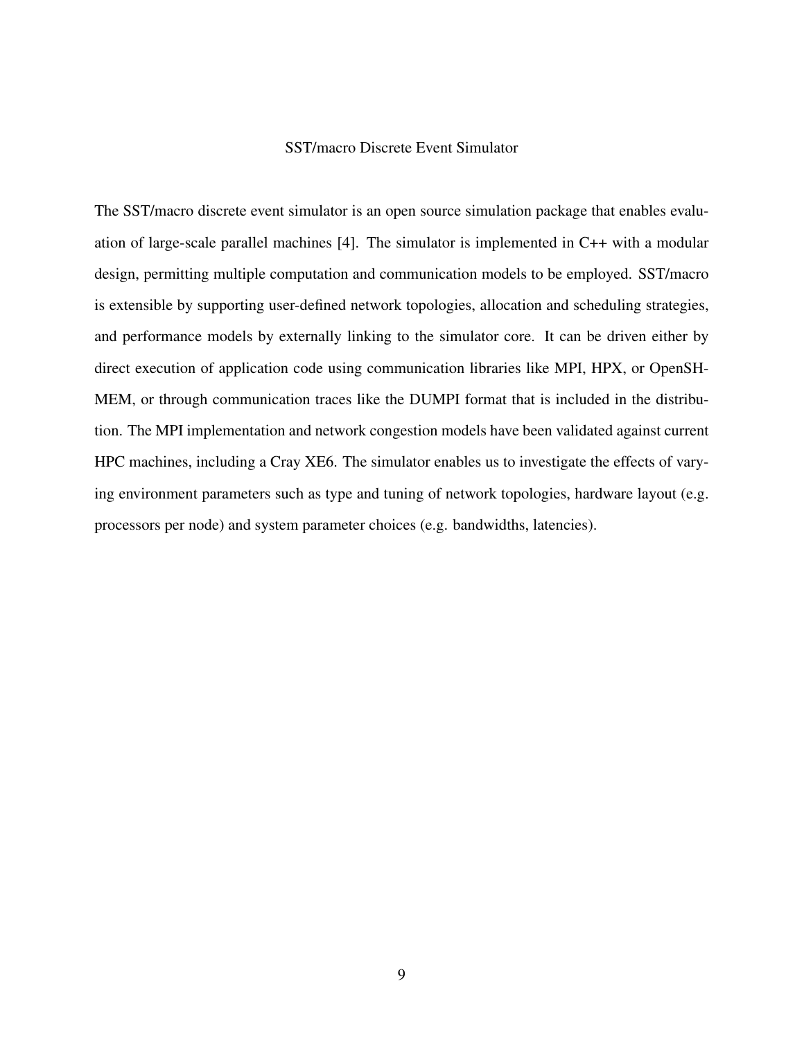#### <span id="page-16-0"></span>SST/macro Discrete Event Simulator

The SST/macro discrete event simulator is an open source simulation package that enables evaluation of large-scale parallel machines [\[4\]](#page-43-1). The simulator is implemented in C++ with a modular design, permitting multiple computation and communication models to be employed. SST/macro is extensible by supporting user-defined network topologies, allocation and scheduling strategies, and performance models by externally linking to the simulator core. It can be driven either by direct execution of application code using communication libraries like MPI, HPX, or OpenSH-MEM, or through communication traces like the DUMPI format that is included in the distribution. The MPI implementation and network congestion models have been validated against current HPC machines, including a Cray XE6. The simulator enables us to investigate the effects of varying environment parameters such as type and tuning of network topologies, hardware layout (e.g. processors per node) and system parameter choices (e.g. bandwidths, latencies).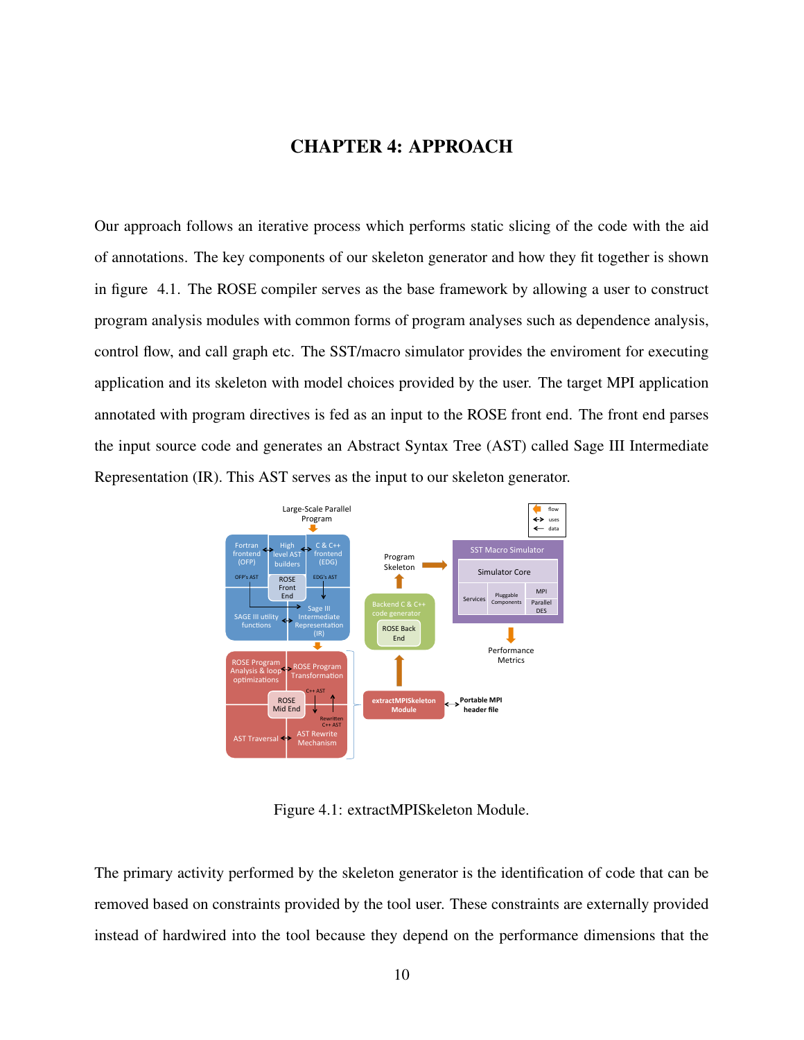## CHAPTER 4: APPROACH

<span id="page-17-0"></span>Our approach follows an iterative process which performs static slicing of the code with the aid of annotations. The key components of our skeleton generator and how they fit together is shown in figure [4.1.](#page-17-1) The ROSE compiler serves as the base framework by allowing a user to construct program analysis modules with common forms of program analyses such as dependence analysis, control flow, and call graph etc. The SST/macro simulator provides the enviroment for executing application and its skeleton with model choices provided by the user. The target MPI application annotated with program directives is fed as an input to the ROSE front end. The front end parses the input source code and generates an Abstract Syntax Tree (AST) called Sage III Intermediate Representation (IR). This AST serves as the input to our skeleton generator.



<span id="page-17-1"></span>Figure 4.1: extractMPISkeleton Module.

The primary activity performed by the skeleton generator is the identification of code that can be removed based on constraints provided by the tool user. These constraints are externally provided instead of hardwired into the tool because they depend on the performance dimensions that the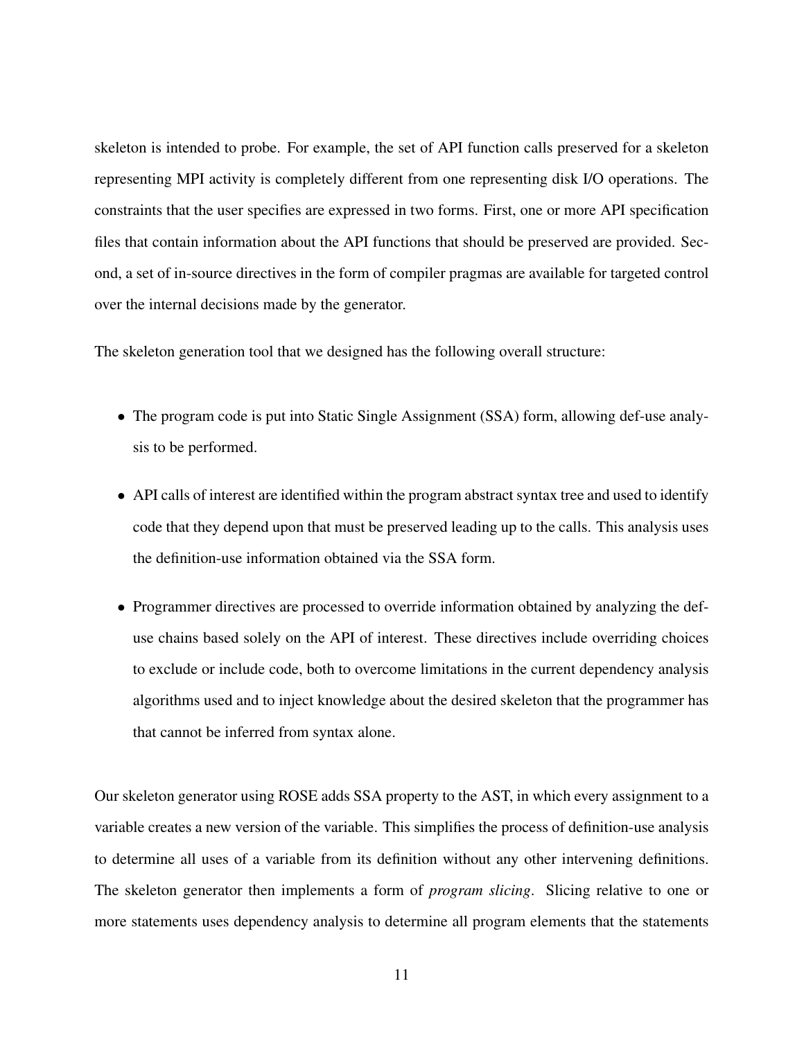skeleton is intended to probe. For example, the set of API function calls preserved for a skeleton representing MPI activity is completely different from one representing disk I/O operations. The constraints that the user specifies are expressed in two forms. First, one or more API specification files that contain information about the API functions that should be preserved are provided. Second, a set of in-source directives in the form of compiler pragmas are available for targeted control over the internal decisions made by the generator.

The skeleton generation tool that we designed has the following overall structure:

- The program code is put into Static Single Assignment (SSA) form, allowing def-use analysis to be performed.
- API calls of interest are identified within the program abstract syntax tree and used to identify code that they depend upon that must be preserved leading up to the calls. This analysis uses the definition-use information obtained via the SSA form.
- Programmer directives are processed to override information obtained by analyzing the defuse chains based solely on the API of interest. These directives include overriding choices to exclude or include code, both to overcome limitations in the current dependency analysis algorithms used and to inject knowledge about the desired skeleton that the programmer has that cannot be inferred from syntax alone.

Our skeleton generator using ROSE adds SSA property to the AST, in which every assignment to a variable creates a new version of the variable. This simplifies the process of definition-use analysis to determine all uses of a variable from its definition without any other intervening definitions. The skeleton generator then implements a form of *program slicing*. Slicing relative to one or more statements uses dependency analysis to determine all program elements that the statements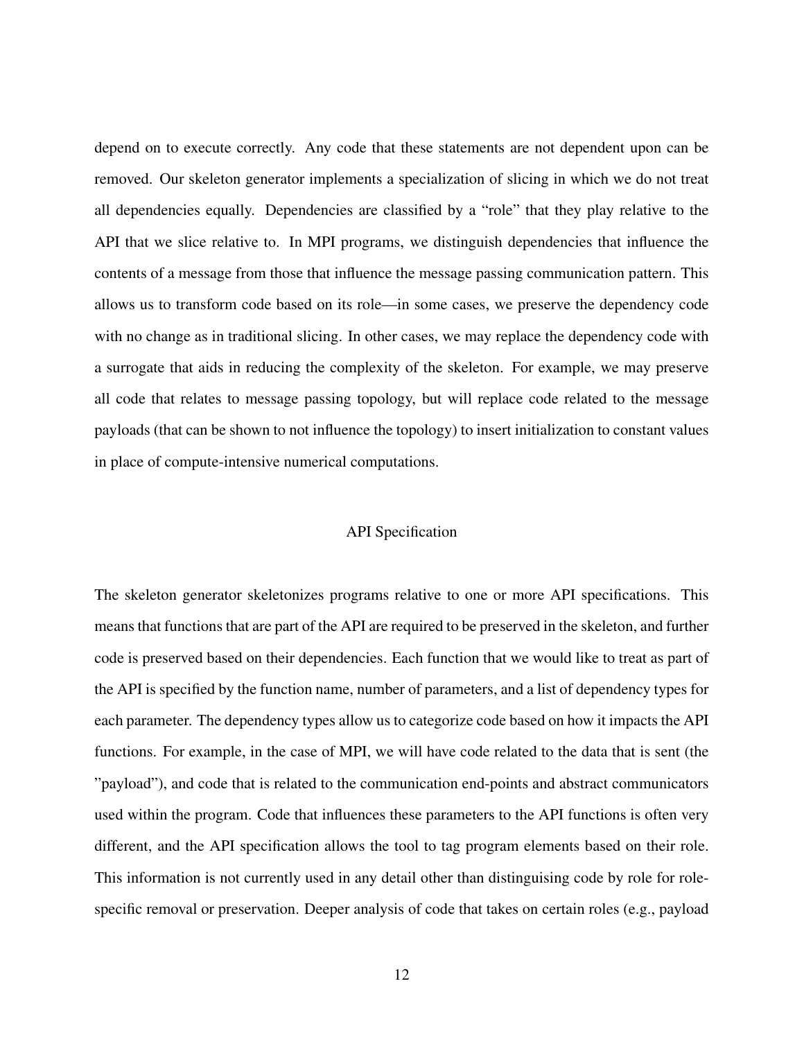depend on to execute correctly. Any code that these statements are not dependent upon can be removed. Our skeleton generator implements a specialization of slicing in which we do not treat all dependencies equally. Dependencies are classified by a "role" that they play relative to the API that we slice relative to. In MPI programs, we distinguish dependencies that influence the contents of a message from those that influence the message passing communication pattern. This allows us to transform code based on its role—in some cases, we preserve the dependency code with no change as in traditional slicing. In other cases, we may replace the dependency code with a surrogate that aids in reducing the complexity of the skeleton. For example, we may preserve all code that relates to message passing topology, but will replace code related to the message payloads (that can be shown to not influence the topology) to insert initialization to constant values in place of compute-intensive numerical computations.

#### <span id="page-19-0"></span>API Specification

The skeleton generator skeletonizes programs relative to one or more API specifications. This means that functions that are part of the API are required to be preserved in the skeleton, and further code is preserved based on their dependencies. Each function that we would like to treat as part of the API is specified by the function name, number of parameters, and a list of dependency types for each parameter. The dependency types allow us to categorize code based on how it impacts the API functions. For example, in the case of MPI, we will have code related to the data that is sent (the "payload"), and code that is related to the communication end-points and abstract communicators used within the program. Code that influences these parameters to the API functions is often very different, and the API specification allows the tool to tag program elements based on their role. This information is not currently used in any detail other than distinguising code by role for rolespecific removal or preservation. Deeper analysis of code that takes on certain roles (e.g., payload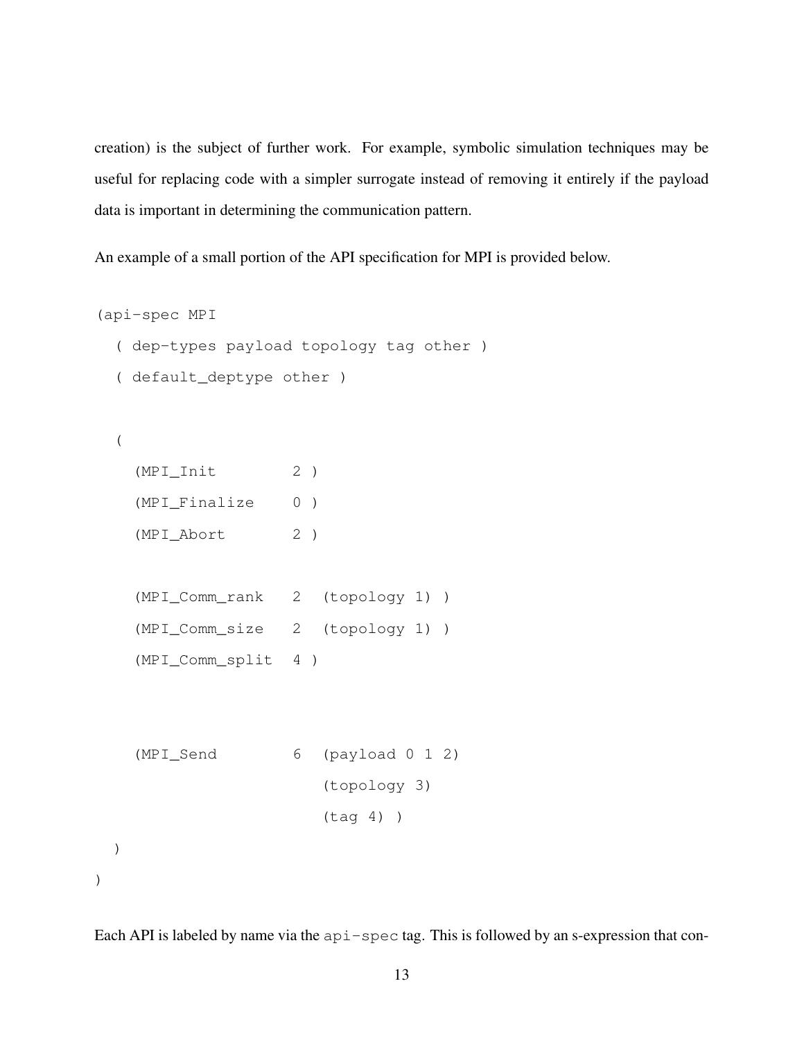creation) is the subject of further work. For example, symbolic simulation techniques may be useful for replacing code with a simpler surrogate instead of removing it entirely if the payload data is important in determining the communication pattern.

An example of a small portion of the API specification for MPI is provided below.

```
(api-spec MPI
  ( dep-types payload topology tag other )
  ( default_deptype other )
  (
    (MPI Init 2 )
    (MPI_Finalize 0 )
    (MPI_Abort 2 )
    (MPI_Comm_rank 2 (topology 1) )
    (MPI_Comm_size 2 (topology 1) )
    (MPI_Comm_split 4 )
    (MPI_Send 6 (payload 0 1 2)
                       (topology 3)
                       (tag 4) )
 )
)
```
Each API is labeled by name via the api-spec tag. This is followed by an s-expression that con-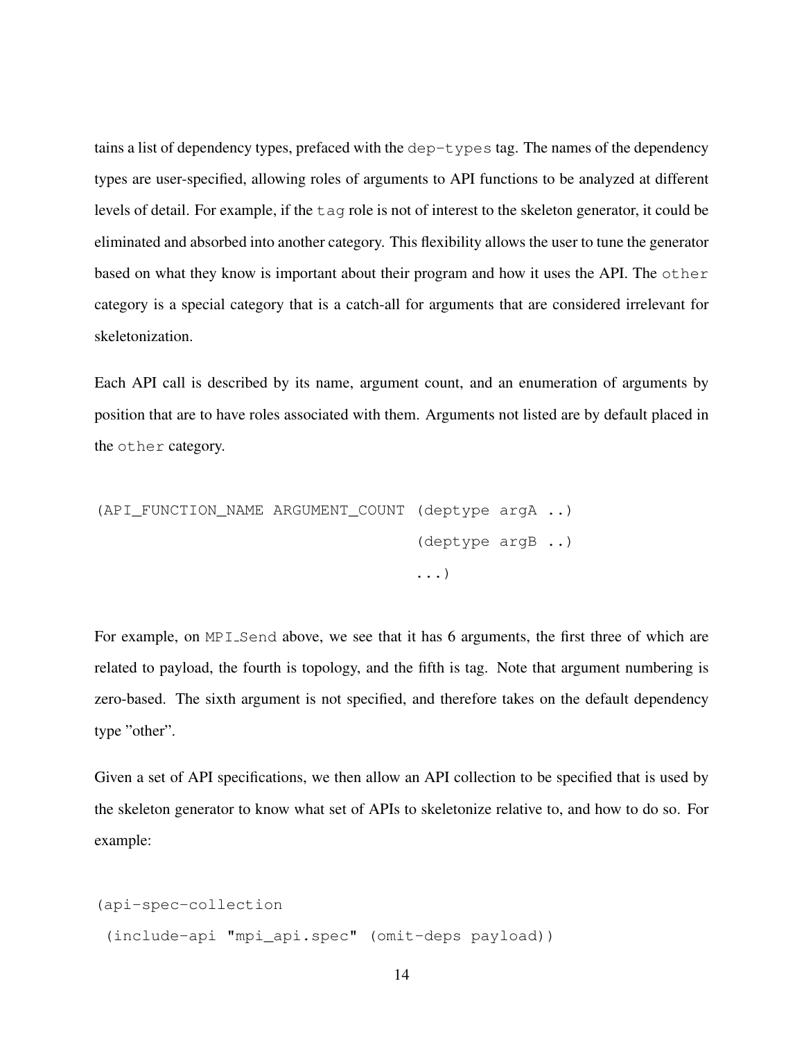tains a list of dependency types, prefaced with the dep-types tag. The names of the dependency types are user-specified, allowing roles of arguments to API functions to be analyzed at different levels of detail. For example, if the tag role is not of interest to the skeleton generator, it could be eliminated and absorbed into another category. This flexibility allows the user to tune the generator based on what they know is important about their program and how it uses the API. The other category is a special category that is a catch-all for arguments that are considered irrelevant for skeletonization.

Each API call is described by its name, argument count, and an enumeration of arguments by position that are to have roles associated with them. Arguments not listed are by default placed in the other category.

(API\_FUNCTION\_NAME ARGUMENT\_COUNT (deptype argA ..) (deptype argB ..) ...)

For example, on MPI Send above, we see that it has 6 arguments, the first three of which are related to payload, the fourth is topology, and the fifth is tag. Note that argument numbering is zero-based. The sixth argument is not specified, and therefore takes on the default dependency type "other".

Given a set of API specifications, we then allow an API collection to be specified that is used by the skeleton generator to know what set of APIs to skeletonize relative to, and how to do so. For example:

```
(api-spec-collection
 (include-api "mpi_api.spec" (omit-deps payload))
```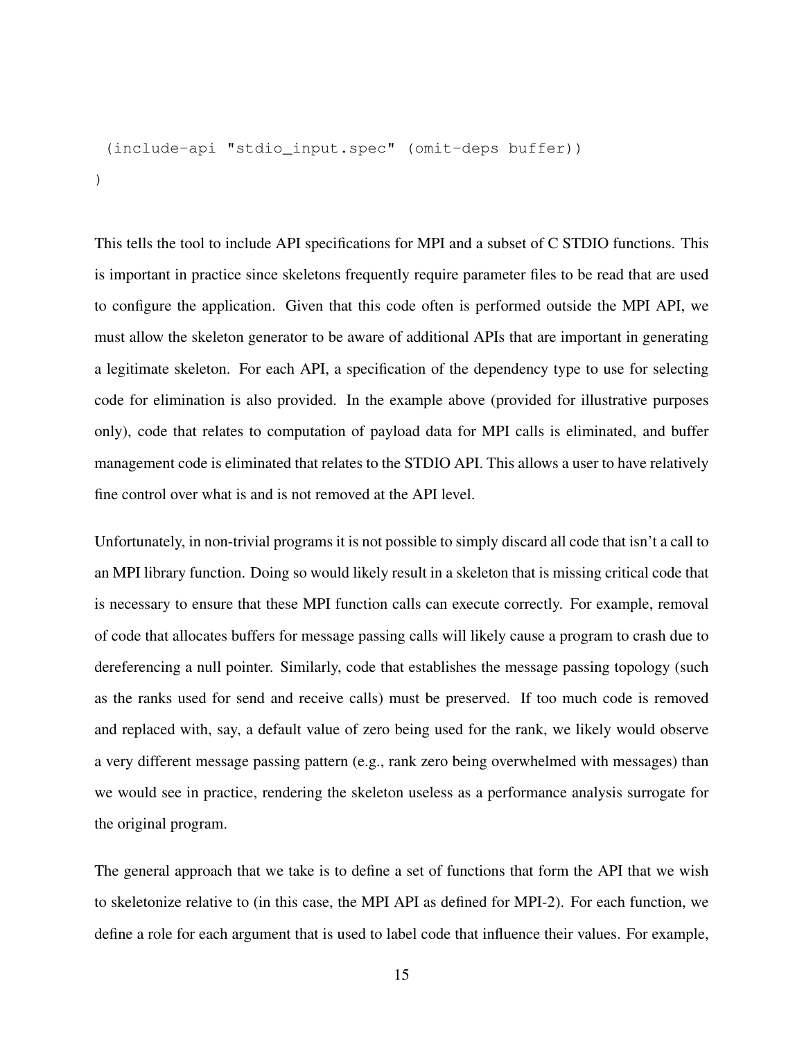```
(include-api "stdio_input.spec" (omit-deps buffer))
)
```
This tells the tool to include API specifications for MPI and a subset of C STDIO functions. This is important in practice since skeletons frequently require parameter files to be read that are used to configure the application. Given that this code often is performed outside the MPI API, we must allow the skeleton generator to be aware of additional APIs that are important in generating a legitimate skeleton. For each API, a specification of the dependency type to use for selecting code for elimination is also provided. In the example above (provided for illustrative purposes only), code that relates to computation of payload data for MPI calls is eliminated, and buffer management code is eliminated that relates to the STDIO API. This allows a user to have relatively fine control over what is and is not removed at the API level.

Unfortunately, in non-trivial programs it is not possible to simply discard all code that isn't a call to an MPI library function. Doing so would likely result in a skeleton that is missing critical code that is necessary to ensure that these MPI function calls can execute correctly. For example, removal of code that allocates buffers for message passing calls will likely cause a program to crash due to dereferencing a null pointer. Similarly, code that establishes the message passing topology (such as the ranks used for send and receive calls) must be preserved. If too much code is removed and replaced with, say, a default value of zero being used for the rank, we likely would observe a very different message passing pattern (e.g., rank zero being overwhelmed with messages) than we would see in practice, rendering the skeleton useless as a performance analysis surrogate for the original program.

The general approach that we take is to define a set of functions that form the API that we wish to skeletonize relative to (in this case, the MPI API as defined for MPI-2). For each function, we define a role for each argument that is used to label code that influence their values. For example,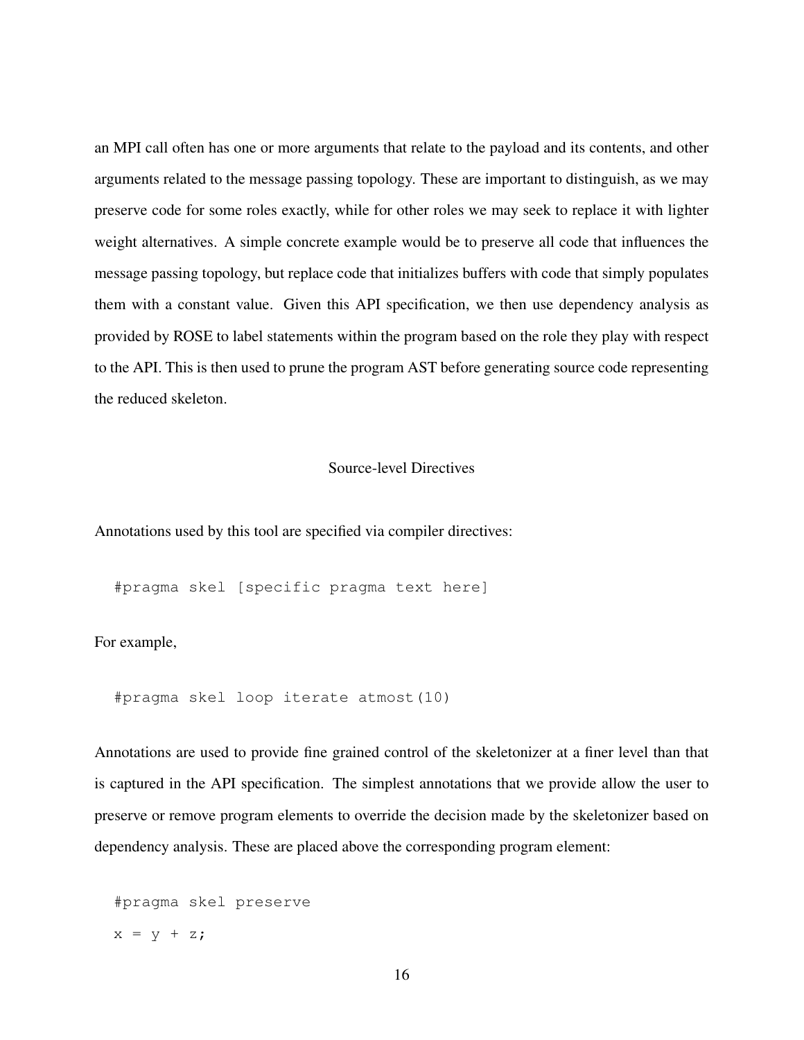an MPI call often has one or more arguments that relate to the payload and its contents, and other arguments related to the message passing topology. These are important to distinguish, as we may preserve code for some roles exactly, while for other roles we may seek to replace it with lighter weight alternatives. A simple concrete example would be to preserve all code that influences the message passing topology, but replace code that initializes buffers with code that simply populates them with a constant value. Given this API specification, we then use dependency analysis as provided by ROSE to label statements within the program based on the role they play with respect to the API. This is then used to prune the program AST before generating source code representing the reduced skeleton.

#### <span id="page-23-0"></span>Source-level Directives

Annotations used by this tool are specified via compiler directives:

#pragma skel [specific pragma text here]

For example,

#pragma skel loop iterate atmost(10)

Annotations are used to provide fine grained control of the skeletonizer at a finer level than that is captured in the API specification. The simplest annotations that we provide allow the user to preserve or remove program elements to override the decision made by the skeletonizer based on dependency analysis. These are placed above the corresponding program element:

```
#pragma skel preserve
x = y + z;
```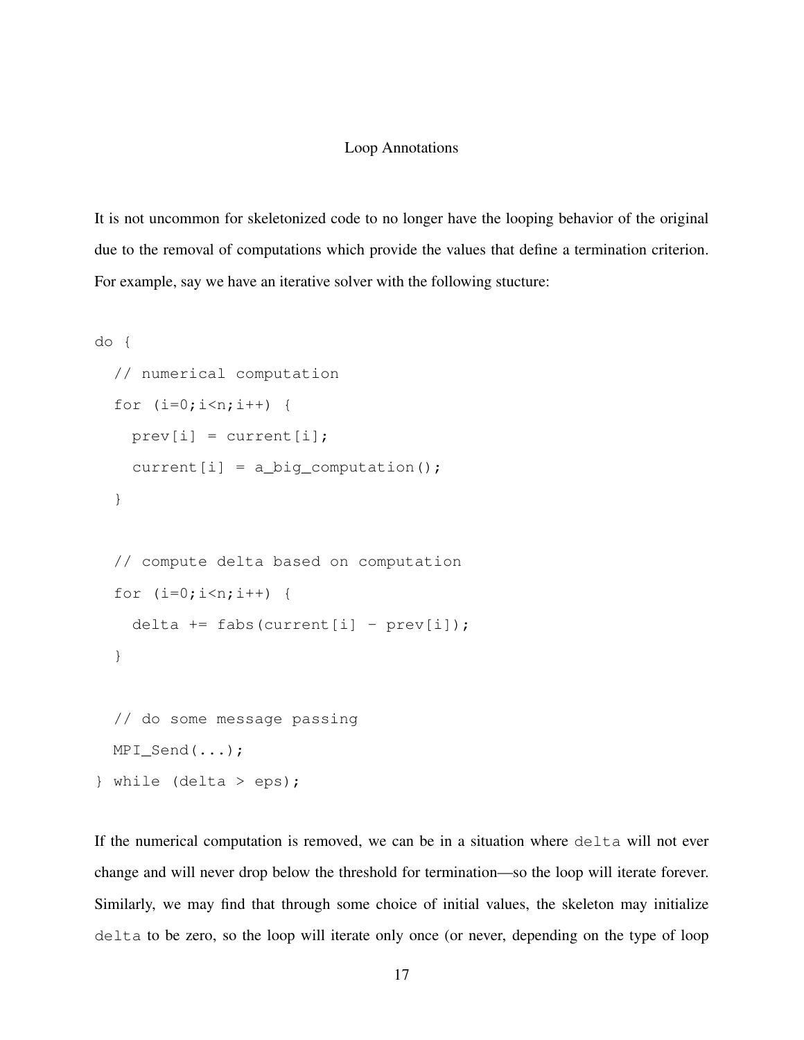#### <span id="page-24-0"></span>Loop Annotations

It is not uncommon for skeletonized code to no longer have the looping behavior of the original due to the removal of computations which provide the values that define a termination criterion. For example, say we have an iterative solver with the following stucture:

```
do {
  // numerical computation
  for (i=0; i < n; i++) {
    prev[i] = current[i];current [i] = a big computation ();
  }
  // compute delta based on computation
  for (i=0; i \le n; i++) {
    delta += fabs(current[i] - prev[i];
  }
  // do some message passing
  MPI_Send(...);
} while (delta > eps);
```
If the numerical computation is removed, we can be in a situation where delta will not ever change and will never drop below the threshold for termination—so the loop will iterate forever. Similarly, we may find that through some choice of initial values, the skeleton may initialize delta to be zero, so the loop will iterate only once (or never, depending on the type of loop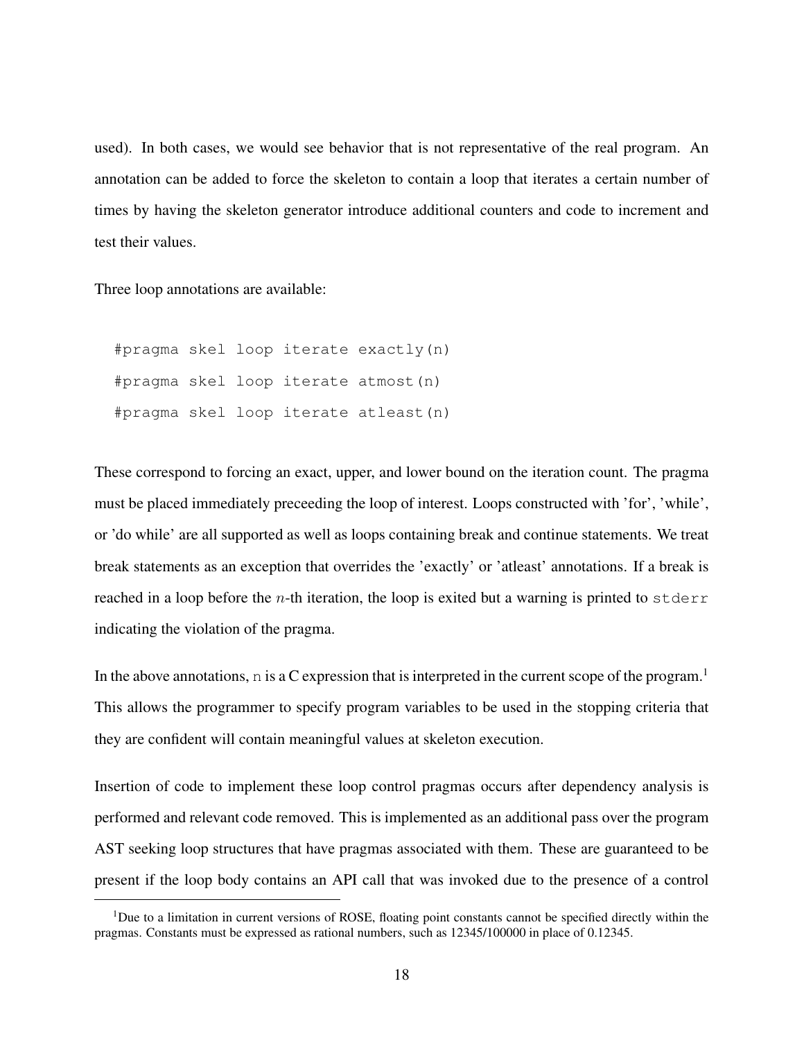used). In both cases, we would see behavior that is not representative of the real program. An annotation can be added to force the skeleton to contain a loop that iterates a certain number of times by having the skeleton generator introduce additional counters and code to increment and test their values.

Three loop annotations are available:

#pragma skel loop iterate exactly(n) #pragma skel loop iterate atmost(n) #pragma skel loop iterate atleast(n)

These correspond to forcing an exact, upper, and lower bound on the iteration count. The pragma must be placed immediately preceeding the loop of interest. Loops constructed with 'for', 'while', or 'do while' are all supported as well as loops containing break and continue statements. We treat break statements as an exception that overrides the 'exactly' or 'atleast' annotations. If a break is reached in a loop before the *n*-th iteration, the loop is exited but a warning is printed to stderr indicating the violation of the pragma.

In the above annotations,  $n$  is a C expression that is interpreted in the current scope of the program.<sup>[1](#page-25-0)</sup> This allows the programmer to specify program variables to be used in the stopping criteria that they are confident will contain meaningful values at skeleton execution.

Insertion of code to implement these loop control pragmas occurs after dependency analysis is performed and relevant code removed. This is implemented as an additional pass over the program AST seeking loop structures that have pragmas associated with them. These are guaranteed to be present if the loop body contains an API call that was invoked due to the presence of a control

<span id="page-25-0"></span><sup>&</sup>lt;sup>1</sup>Due to a limitation in current versions of ROSE, floating point constants cannot be specified directly within the pragmas. Constants must be expressed as rational numbers, such as 12345/100000 in place of 0.12345.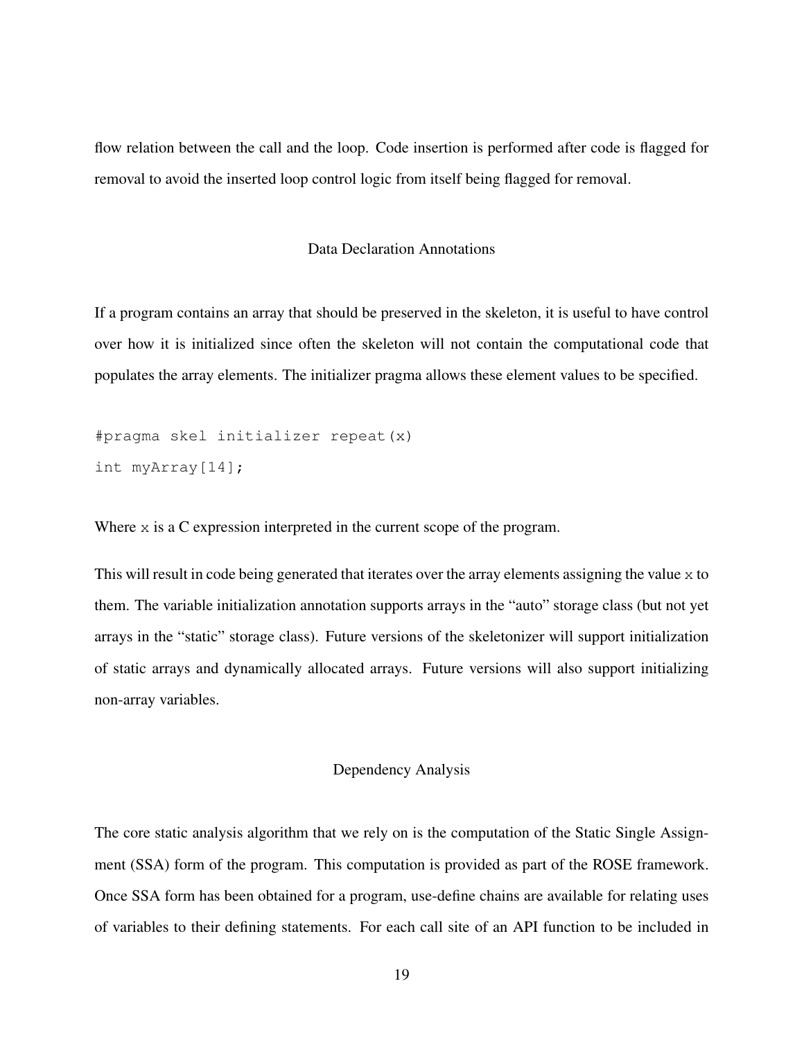flow relation between the call and the loop. Code insertion is performed after code is flagged for removal to avoid the inserted loop control logic from itself being flagged for removal.

#### <span id="page-26-0"></span>Data Declaration Annotations

If a program contains an array that should be preserved in the skeleton, it is useful to have control over how it is initialized since often the skeleton will not contain the computational code that populates the array elements. The initializer pragma allows these element values to be specified.

```
#pragma skel initializer repeat(x)
int myArray[14];
```
Where x is a C expression interpreted in the current scope of the program.

This will result in code being generated that iterates over the array elements assigning the value x to them. The variable initialization annotation supports arrays in the "auto" storage class (but not yet arrays in the "static" storage class). Future versions of the skeletonizer will support initialization of static arrays and dynamically allocated arrays. Future versions will also support initializing non-array variables.

#### <span id="page-26-1"></span>Dependency Analysis

The core static analysis algorithm that we rely on is the computation of the Static Single Assignment (SSA) form of the program. This computation is provided as part of the ROSE framework. Once SSA form has been obtained for a program, use-define chains are available for relating uses of variables to their defining statements. For each call site of an API function to be included in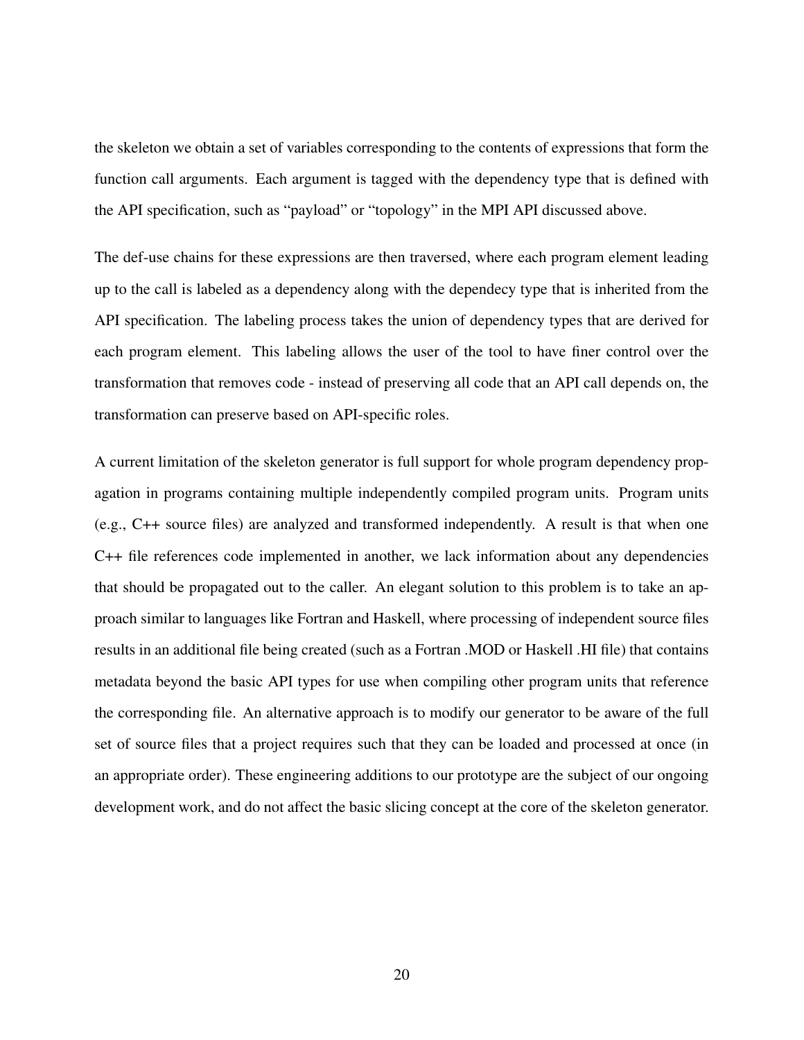the skeleton we obtain a set of variables corresponding to the contents of expressions that form the function call arguments. Each argument is tagged with the dependency type that is defined with the API specification, such as "payload" or "topology" in the MPI API discussed above.

The def-use chains for these expressions are then traversed, where each program element leading up to the call is labeled as a dependency along with the dependecy type that is inherited from the API specification. The labeling process takes the union of dependency types that are derived for each program element. This labeling allows the user of the tool to have finer control over the transformation that removes code - instead of preserving all code that an API call depends on, the transformation can preserve based on API-specific roles.

A current limitation of the skeleton generator is full support for whole program dependency propagation in programs containing multiple independently compiled program units. Program units (e.g., C++ source files) are analyzed and transformed independently. A result is that when one C++ file references code implemented in another, we lack information about any dependencies that should be propagated out to the caller. An elegant solution to this problem is to take an approach similar to languages like Fortran and Haskell, where processing of independent source files results in an additional file being created (such as a Fortran .MOD or Haskell .HI file) that contains metadata beyond the basic API types for use when compiling other program units that reference the corresponding file. An alternative approach is to modify our generator to be aware of the full set of source files that a project requires such that they can be loaded and processed at once (in an appropriate order). These engineering additions to our prototype are the subject of our ongoing development work, and do not affect the basic slicing concept at the core of the skeleton generator.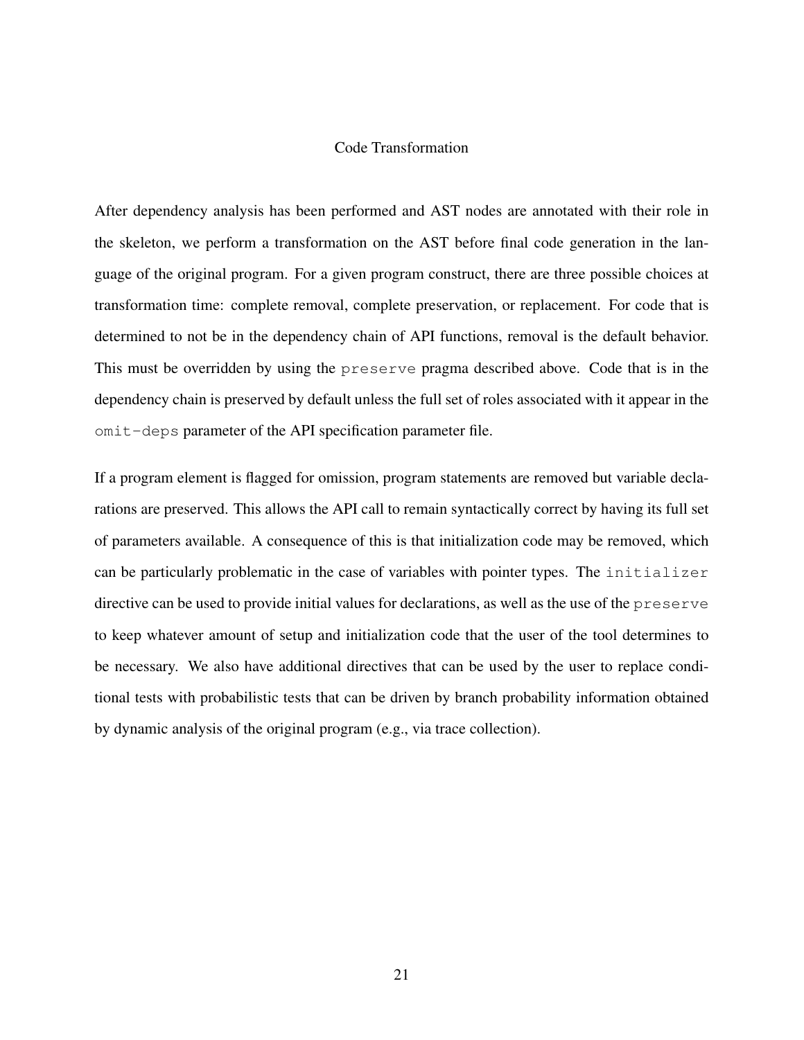#### <span id="page-28-0"></span>Code Transformation

After dependency analysis has been performed and AST nodes are annotated with their role in the skeleton, we perform a transformation on the AST before final code generation in the language of the original program. For a given program construct, there are three possible choices at transformation time: complete removal, complete preservation, or replacement. For code that is determined to not be in the dependency chain of API functions, removal is the default behavior. This must be overridden by using the preserve pragma described above. Code that is in the dependency chain is preserved by default unless the full set of roles associated with it appear in the omit-deps parameter of the API specification parameter file.

If a program element is flagged for omission, program statements are removed but variable declarations are preserved. This allows the API call to remain syntactically correct by having its full set of parameters available. A consequence of this is that initialization code may be removed, which can be particularly problematic in the case of variables with pointer types. The initializer directive can be used to provide initial values for declarations, as well as the use of the preserve to keep whatever amount of setup and initialization code that the user of the tool determines to be necessary. We also have additional directives that can be used by the user to replace conditional tests with probabilistic tests that can be driven by branch probability information obtained by dynamic analysis of the original program (e.g., via trace collection).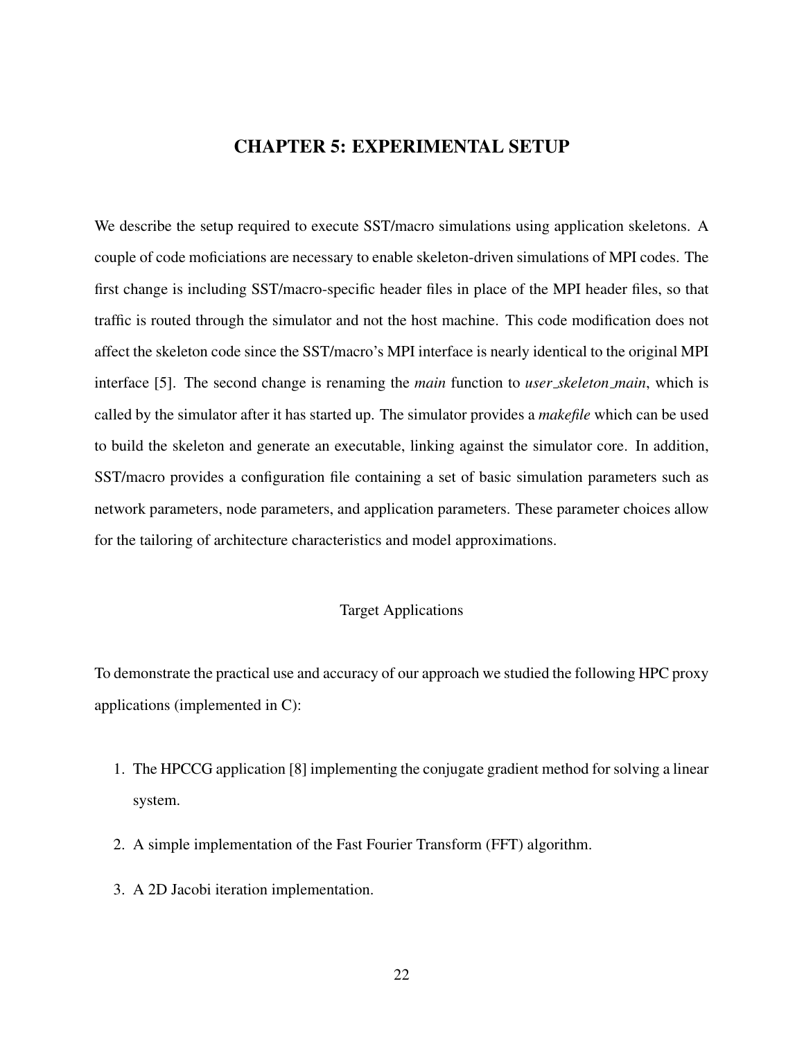# CHAPTER 5: EXPERIMENTAL SETUP

<span id="page-29-0"></span>We describe the setup required to execute SST/macro simulations using application skeletons. A couple of code moficiations are necessary to enable skeleton-driven simulations of MPI codes. The first change is including SST/macro-specific header files in place of the MPI header files, so that traffic is routed through the simulator and not the host machine. This code modification does not affect the skeleton code since the SST/macro's MPI interface is nearly identical to the original MPI interface [\[5\]](#page-43-7). The second change is renaming the *main* function to *user skeleton main*, which is called by the simulator after it has started up. The simulator provides a *makefile* which can be used to build the skeleton and generate an executable, linking against the simulator core. In addition, SST/macro provides a configuration file containing a set of basic simulation parameters such as network parameters, node parameters, and application parameters. These parameter choices allow for the tailoring of architecture characteristics and model approximations.

#### <span id="page-29-1"></span>Target Applications

To demonstrate the practical use and accuracy of our approach we studied the following HPC proxy applications (implemented in C):

- 1. The HPCCG application [\[8\]](#page-43-8) implementing the conjugate gradient method for solving a linear system.
- 2. A simple implementation of the Fast Fourier Transform (FFT) algorithm.
- 3. A 2D Jacobi iteration implementation.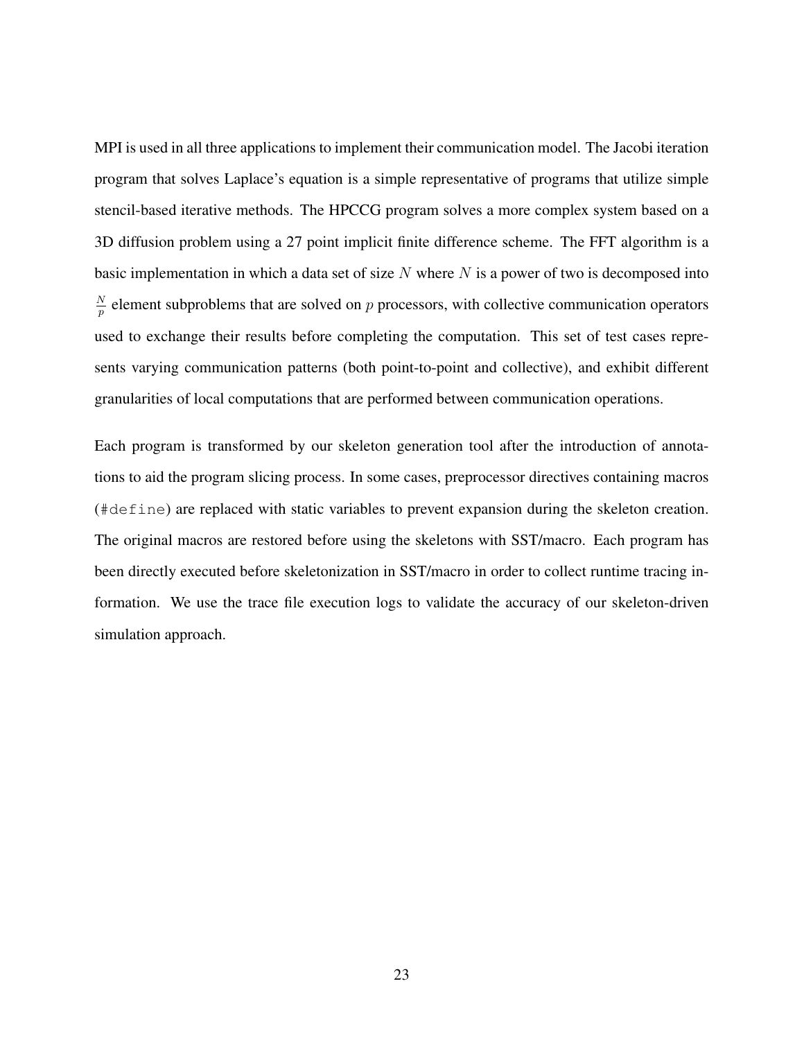MPI is used in all three applications to implement their communication model. The Jacobi iteration program that solves Laplace's equation is a simple representative of programs that utilize simple stencil-based iterative methods. The HPCCG program solves a more complex system based on a 3D diffusion problem using a 27 point implicit finite difference scheme. The FFT algorithm is a basic implementation in which a data set of size  $N$  where  $N$  is a power of two is decomposed into N  $\frac{N}{p}$  element subproblems that are solved on p processors, with collective communication operators used to exchange their results before completing the computation. This set of test cases represents varying communication patterns (both point-to-point and collective), and exhibit different granularities of local computations that are performed between communication operations.

Each program is transformed by our skeleton generation tool after the introduction of annotations to aid the program slicing process. In some cases, preprocessor directives containing macros (#define) are replaced with static variables to prevent expansion during the skeleton creation. The original macros are restored before using the skeletons with SST/macro. Each program has been directly executed before skeletonization in SST/macro in order to collect runtime tracing information. We use the trace file execution logs to validate the accuracy of our skeleton-driven simulation approach.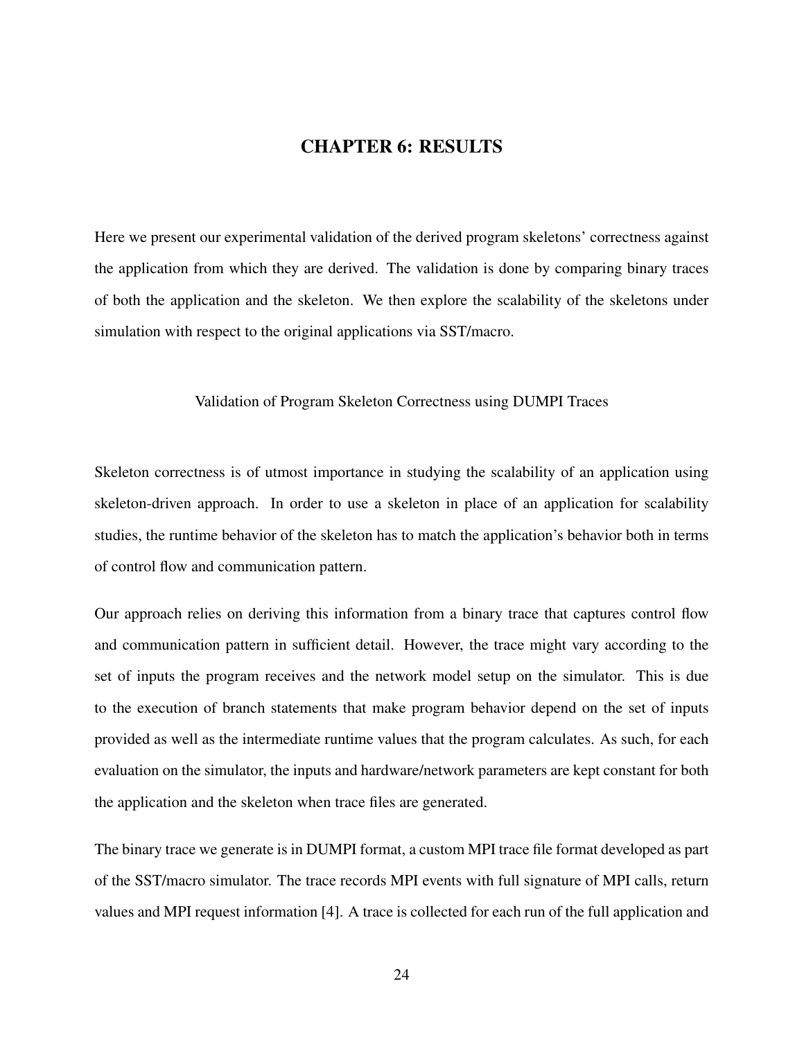# CHAPTER 6: RESULTS

<span id="page-31-0"></span>Here we present our experimental validation of the derived program skeletons' correctness against the application from which they are derived. The validation is done by comparing binary traces of both the application and the skeleton. We then explore the scalability of the skeletons under simulation with respect to the original applications via SST/macro.

#### <span id="page-31-1"></span>Validation of Program Skeleton Correctness using DUMPI Traces

Skeleton correctness is of utmost importance in studying the scalability of an application using skeleton-driven approach. In order to use a skeleton in place of an application for scalability studies, the runtime behavior of the skeleton has to match the application's behavior both in terms of control flow and communication pattern.

Our approach relies on deriving this information from a binary trace that captures control flow and communication pattern in sufficient detail. However, the trace might vary according to the set of inputs the program receives and the network model setup on the simulator. This is due to the execution of branch statements that make program behavior depend on the set of inputs provided as well as the intermediate runtime values that the program calculates. As such, for each evaluation on the simulator, the inputs and hardware/network parameters are kept constant for both the application and the skeleton when trace files are generated.

The binary trace we generate is in DUMPI format, a custom MPI trace file format developed as part of the SST/macro simulator. The trace records MPI events with full signature of MPI calls, return values and MPI request information [\[4\]](#page-43-1). A trace is collected for each run of the full application and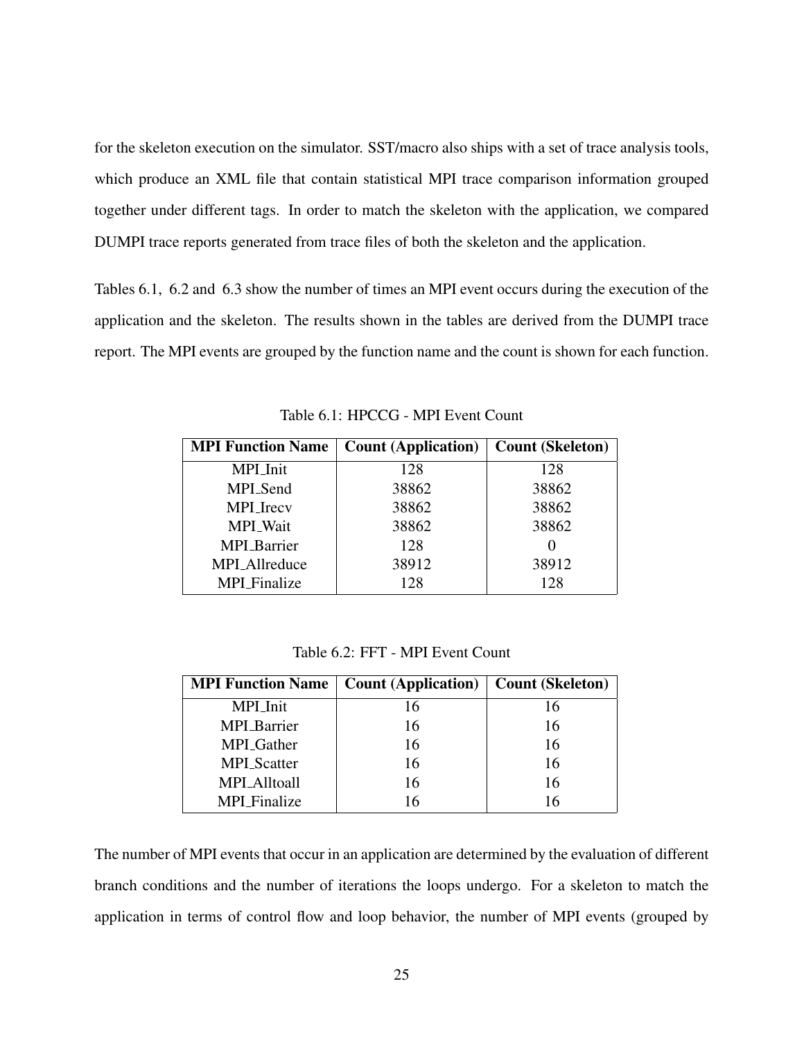for the skeleton execution on the simulator. SST/macro also ships with a set of trace analysis tools, which produce an XML file that contain statistical MPI trace comparison information grouped together under different tags. In order to match the skeleton with the application, we compared DUMPI trace reports generated from trace files of both the skeleton and the application.

Tables [6.1,](#page-32-0) [6.2](#page-32-1) and [6.3](#page-33-0) show the number of times an MPI event occurs during the execution of the application and the skeleton. The results shown in the tables are derived from the DUMPI trace report. The MPI events are grouped by the function name and the count is shown for each function.

| <b>MPI Function Name</b> | <b>Count (Application)</b> | <b>Count (Skeleton)</b> |
|--------------------------|----------------------------|-------------------------|
| <b>MPLInit</b>           | 128                        | 128                     |
| MPI_Send                 | 38862                      | 38862                   |
| <b>MPI_Irecv</b>         | 38862                      | 38862                   |
| MPI_Wait                 | 38862                      | 38862                   |
| <b>MPI_Barrier</b>       | 128                        |                         |
| MPI_Allreduce            | 38912                      | 38912                   |
| MPI_Finalize             | 128                        | 128                     |

<span id="page-32-0"></span>Table 6.1: HPCCG - MPI Event Count

<span id="page-32-1"></span>Table 6.2: FFT - MPI Event Count

| <b>MPI Function Name</b> | <b>Count (Application)</b> Count (Skeleton) |    |
|--------------------------|---------------------------------------------|----|
| <b>MPI_Init</b>          | 16                                          | 16 |
| <b>MPL</b> Barrier       | 16                                          | 16 |
| MPI_Gather               | 16                                          | 16 |
| <b>MPL</b> Scatter       | 16                                          | 16 |
| MPI_Alltoall             | 16                                          | 16 |
| MPI_Finalize             | 16                                          |    |

The number of MPI events that occur in an application are determined by the evaluation of different branch conditions and the number of iterations the loops undergo. For a skeleton to match the application in terms of control flow and loop behavior, the number of MPI events (grouped by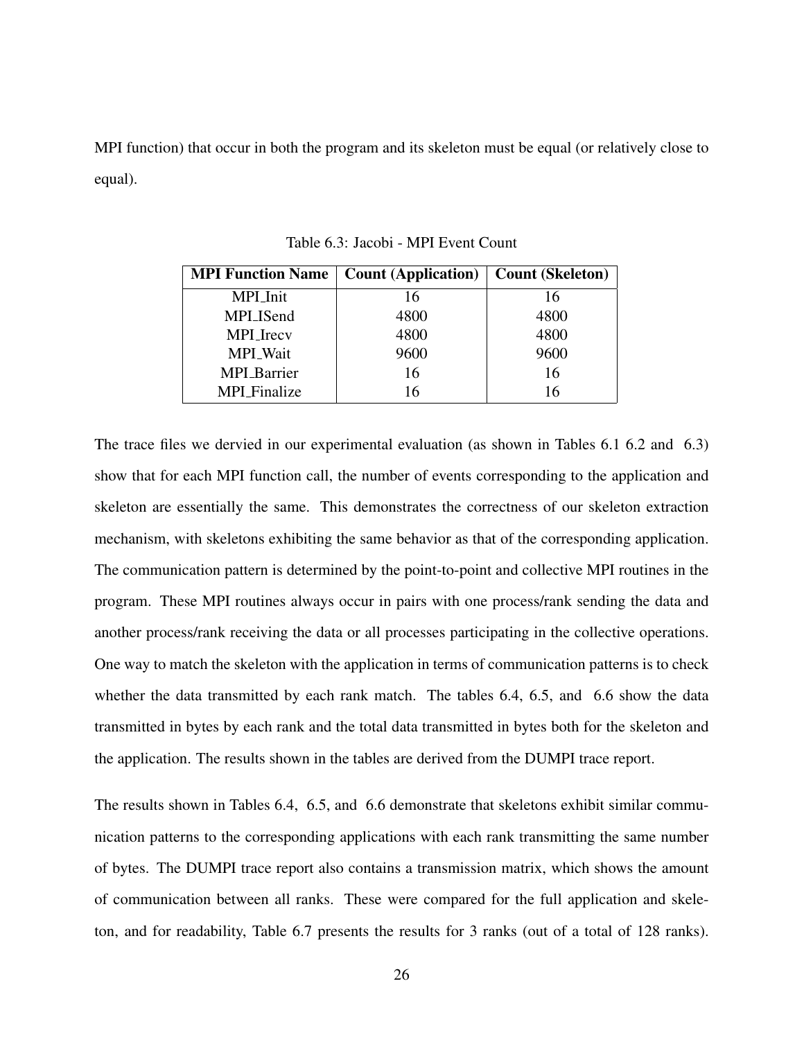MPI function) that occur in both the program and its skeleton must be equal (or relatively close to equal).

|                    | <b>MPI Function Name   Count (Application)   Count (Skeleton)</b> |      |
|--------------------|-------------------------------------------------------------------|------|
| MPI_Init           | 16                                                                | 16   |
| MPI_ISend          | 4800                                                              | 4800 |
| <b>MPI_Irecv</b>   | 4800                                                              | 4800 |
| MPI_Wait           | 9600                                                              | 9600 |
| <b>MPI_Barrier</b> | 16                                                                | 16   |
| MPI_Finalize       | 16                                                                | 16   |

<span id="page-33-0"></span>Table 6.3: Jacobi - MPI Event Count

The trace files we dervied in our experimental evaluation (as shown in Tables [6.1](#page-32-0) [6.2](#page-32-1) and [6.3\)](#page-33-0) show that for each MPI function call, the number of events corresponding to the application and skeleton are essentially the same. This demonstrates the correctness of our skeleton extraction mechanism, with skeletons exhibiting the same behavior as that of the corresponding application. The communication pattern is determined by the point-to-point and collective MPI routines in the program. These MPI routines always occur in pairs with one process/rank sending the data and another process/rank receiving the data or all processes participating in the collective operations. One way to match the skeleton with the application in terms of communication patterns is to check whether the data transmitted by each rank match. The tables [6.4,](#page-34-0) [6.5,](#page-34-1) and [6.6](#page-34-2) show the data transmitted in bytes by each rank and the total data transmitted in bytes both for the skeleton and the application. The results shown in the tables are derived from the DUMPI trace report.

The results shown in Tables [6.4,](#page-34-0) [6.5,](#page-34-1) and [6.6](#page-34-2) demonstrate that skeletons exhibit similar communication patterns to the corresponding applications with each rank transmitting the same number of bytes. The DUMPI trace report also contains a transmission matrix, which shows the amount of communication between all ranks. These were compared for the full application and skeleton, and for readability, Table [6.7](#page-34-3) presents the results for 3 ranks (out of a total of 128 ranks).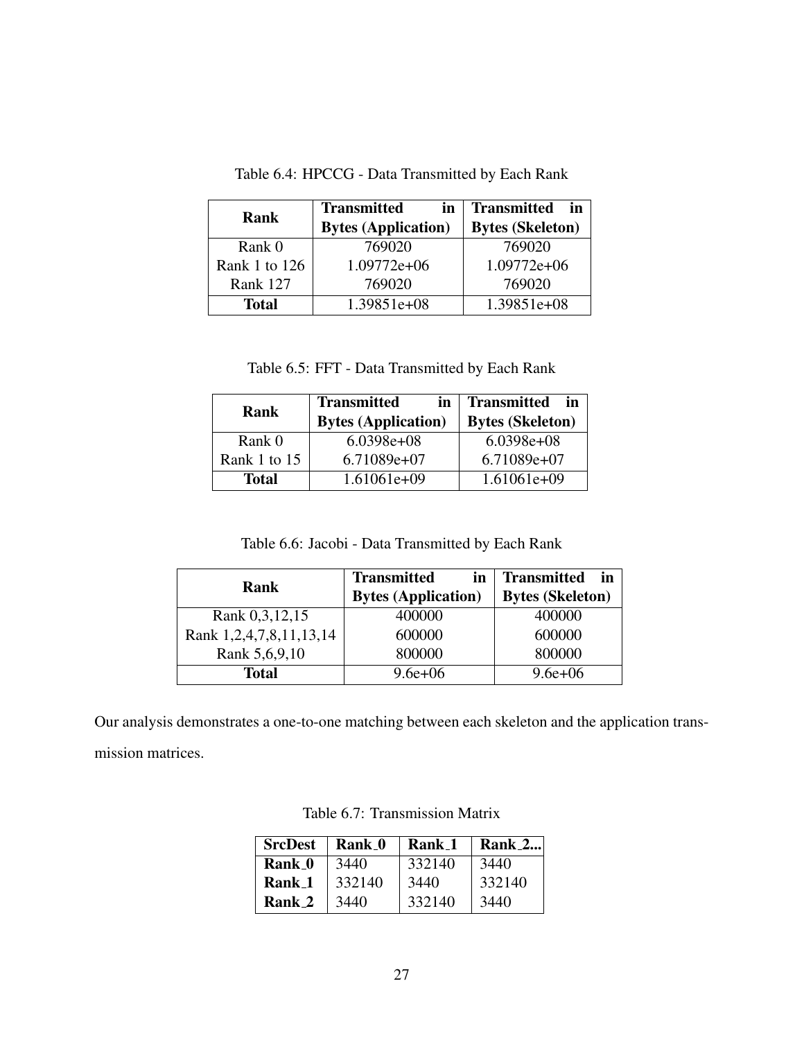| Rank            | <b>Transmitted</b><br><i>in</i> | <b>Transmitted</b> in   |  |
|-----------------|---------------------------------|-------------------------|--|
|                 | <b>Bytes (Application)</b>      | <b>Bytes (Skeleton)</b> |  |
| Rank 0          | 769020                          | 769020                  |  |
| Rank 1 to 126   | $1.09772e+06$                   | $1.09772e+06$           |  |
| <b>Rank 127</b> | 769020                          | 769020                  |  |
| <b>Total</b>    | $1.39851e+08$                   | 1.39851e+08             |  |

<span id="page-34-0"></span>Table 6.4: HPCCG - Data Transmitted by Each Rank

<span id="page-34-1"></span>Table 6.5: FFT - Data Transmitted by Each Rank

| Rank         | <b>Transmitted</b><br>in   | <b>Transmitted</b> in   |  |
|--------------|----------------------------|-------------------------|--|
|              | <b>Bytes (Application)</b> | <b>Bytes (Skeleton)</b> |  |
| Rank 0       | $6.0398e+08$               | $6.0398e+08$            |  |
| Rank 1 to 15 | $6.71089e+07$              | $6.71089e+07$           |  |
| <b>Total</b> | $1.61061e+09$              | $1.61061e+09$           |  |

<span id="page-34-2"></span>Table 6.6: Jacobi - Data Transmitted by Each Rank

| <b>Rank</b>                    | <b>Transmitted</b><br><i>in</i> | <b>Transmitted</b><br>in |
|--------------------------------|---------------------------------|--------------------------|
|                                | <b>Bytes (Application)</b>      | <b>Bytes (Skeleton)</b>  |
| Rank 0,3,12,15                 | 400000                          | 400000                   |
| Rank 1, 2, 4, 7, 8, 11, 13, 14 | 600000                          | 600000                   |
| Rank 5,6,9,10                  | 800000                          | 800000                   |
| Total                          | $9.6e+06$                       | $9.6e+06$                |

Our analysis demonstrates a one-to-one matching between each skeleton and the application transmission matrices.

| <b>SrcDest</b> | Rank 0 | Rank <sub>-1</sub> | $Rank_$ |
|----------------|--------|--------------------|---------|
| Rank 0         | 3440   | 332140             | 3440    |
| Rank 1         | 332140 | 3440               | 332140  |
| Rank 2         | 3440   | 332140             | 3440    |

<span id="page-34-3"></span>Table 6.7: Transmission Matrix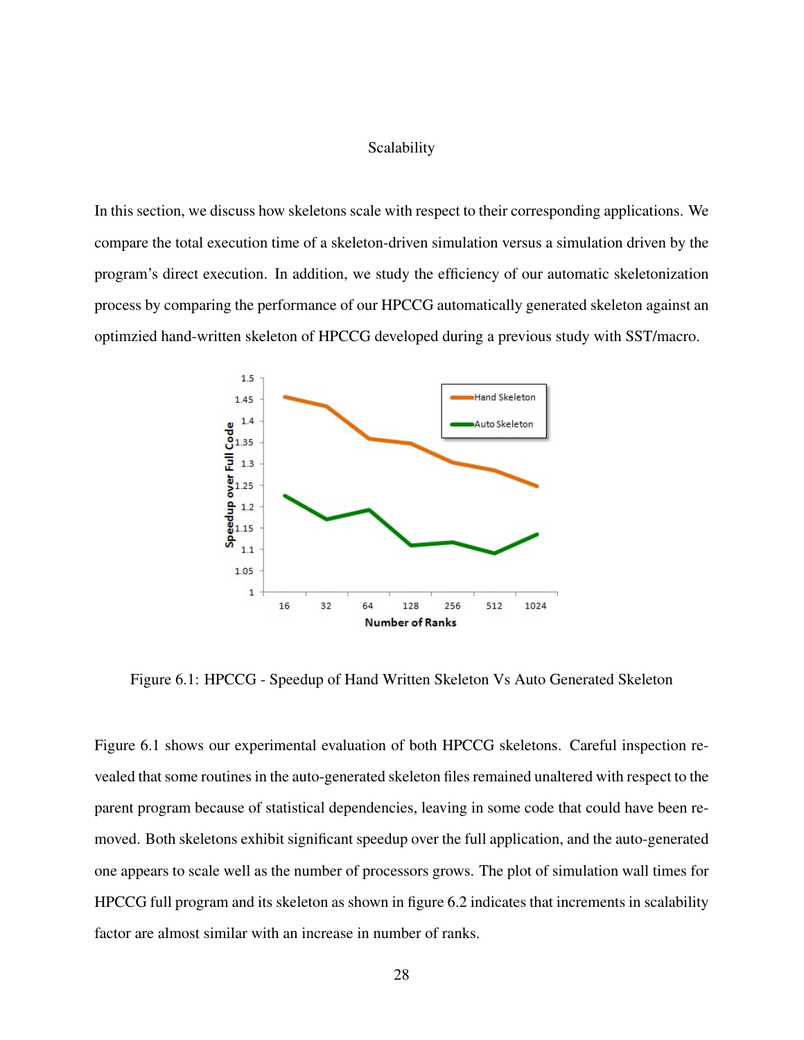#### <span id="page-35-0"></span>Scalability

In this section, we discuss how skeletons scale with respect to their corresponding applications. We compare the total execution time of a skeleton-driven simulation versus a simulation driven by the program's direct execution. In addition, we study the efficiency of our automatic skeletonization process by comparing the performance of our HPCCG automatically generated skeleton against an optimzied hand-written skeleton of HPCCG developed during a previous study with SST/macro.



<span id="page-35-1"></span>Figure 6.1: HPCCG - Speedup of Hand Written Skeleton Vs Auto Generated Skeleton

Figure [6.1](#page-35-1) shows our experimental evaluation of both HPCCG skeletons. Careful inspection revealed that some routines in the auto-generated skeleton files remained unaltered with respect to the parent program because of statistical dependencies, leaving in some code that could have been removed. Both skeletons exhibit significant speedup over the full application, and the auto-generated one appears to scale well as the number of processors grows. The plot of simulation wall times for HPCCG full program and its skeleton as shown in figure [6.2](#page-36-0) indicates that increments in scalability factor are almost similar with an increase in number of ranks.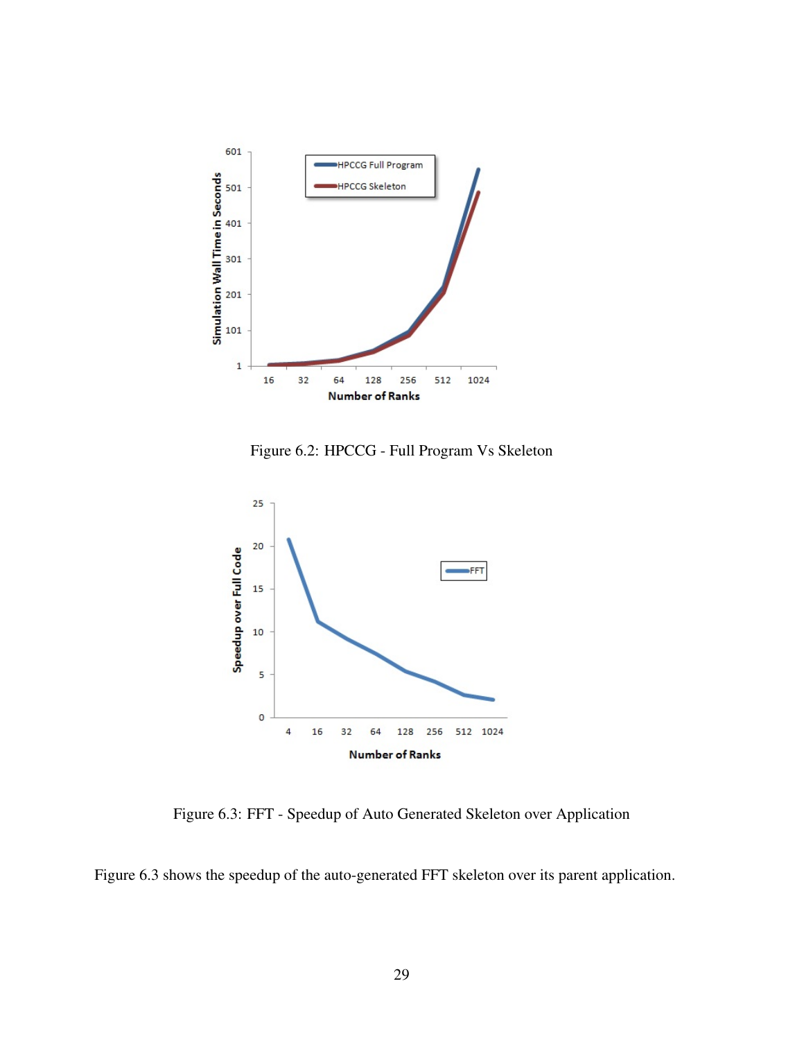

<span id="page-36-0"></span>Figure 6.2: HPCCG - Full Program Vs Skeleton



<span id="page-36-1"></span>Figure 6.3: FFT - Speedup of Auto Generated Skeleton over Application

Figure [6.3](#page-36-1) shows the speedup of the auto-generated FFT skeleton over its parent application.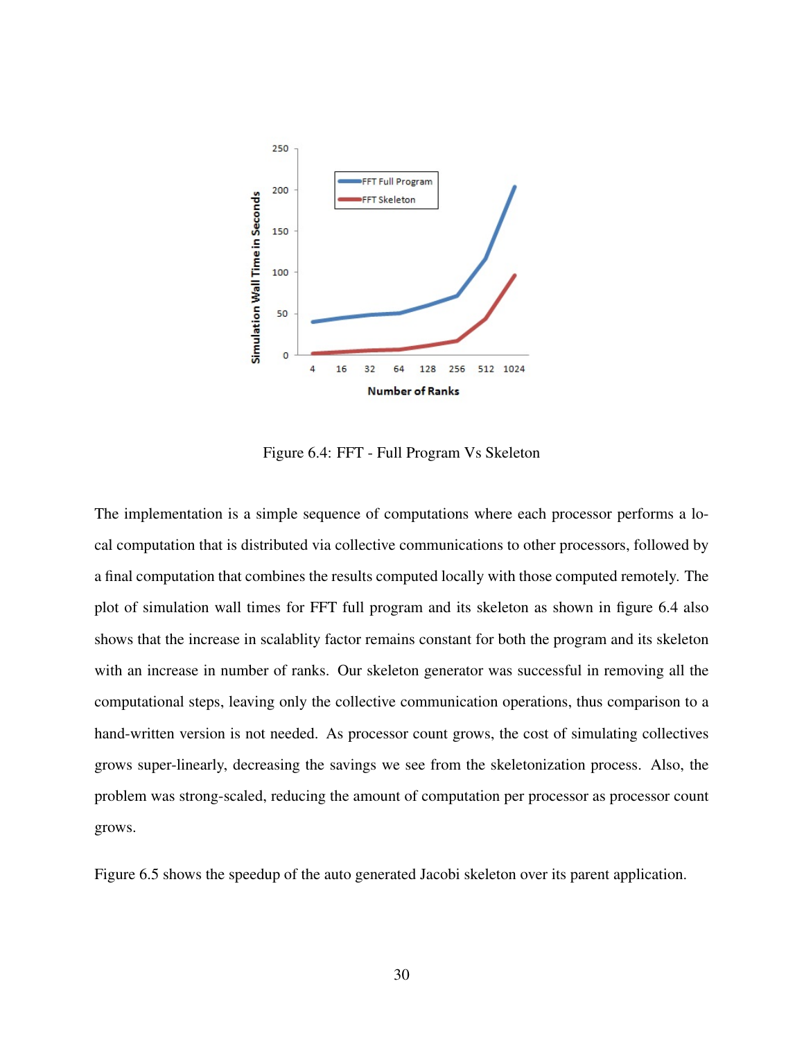

<span id="page-37-0"></span>Figure 6.4: FFT - Full Program Vs Skeleton

The implementation is a simple sequence of computations where each processor performs a local computation that is distributed via collective communications to other processors, followed by a final computation that combines the results computed locally with those computed remotely. The plot of simulation wall times for FFT full program and its skeleton as shown in figure [6.4](#page-37-0) also shows that the increase in scalablity factor remains constant for both the program and its skeleton with an increase in number of ranks. Our skeleton generator was successful in removing all the computational steps, leaving only the collective communication operations, thus comparison to a hand-written version is not needed. As processor count grows, the cost of simulating collectives grows super-linearly, decreasing the savings we see from the skeletonization process. Also, the problem was strong-scaled, reducing the amount of computation per processor as processor count grows.

Figure [6.5](#page-38-0) shows the speedup of the auto generated Jacobi skeleton over its parent application.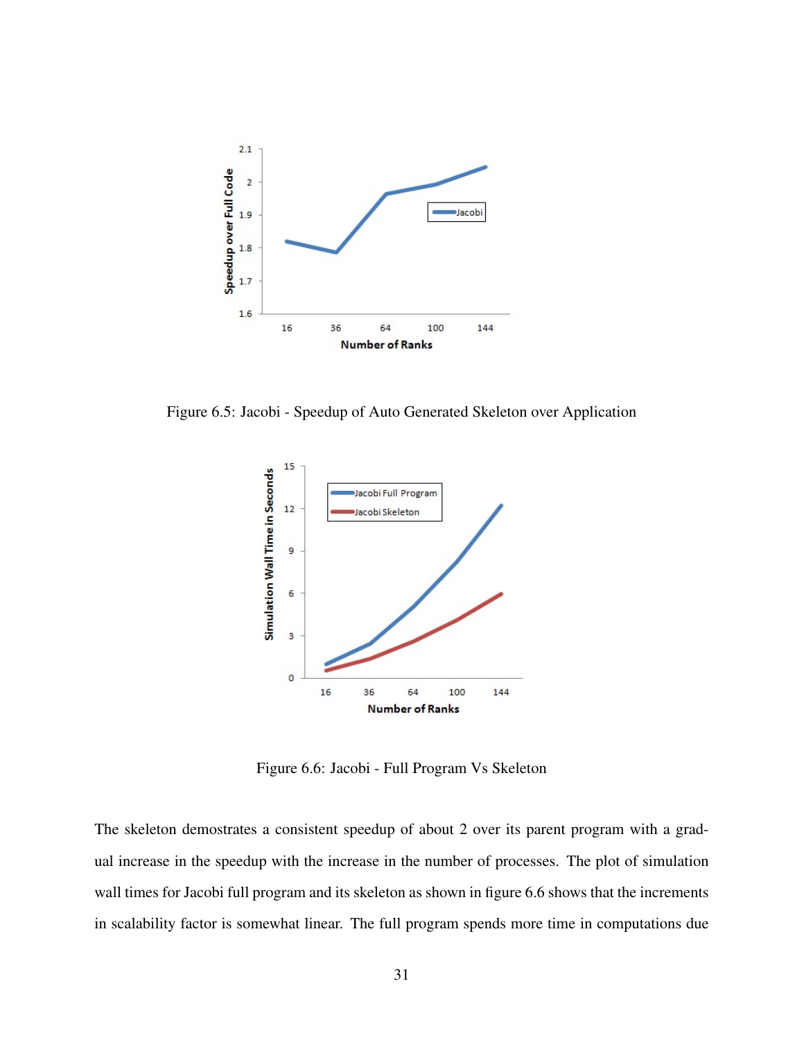

Figure 6.5: Jacobi - Speedup of Auto Generated Skeleton over Application

<span id="page-38-0"></span>

<span id="page-38-1"></span>Figure 6.6: Jacobi - Full Program Vs Skeleton

The skeleton demostrates a consistent speedup of about 2 over its parent program with a gradual increase in the speedup with the increase in the number of processes. The plot of simulation wall times for Jacobi full program and its skeleton as shown in figure [6.6](#page-38-1) shows that the increments in scalability factor is somewhat linear. The full program spends more time in computations due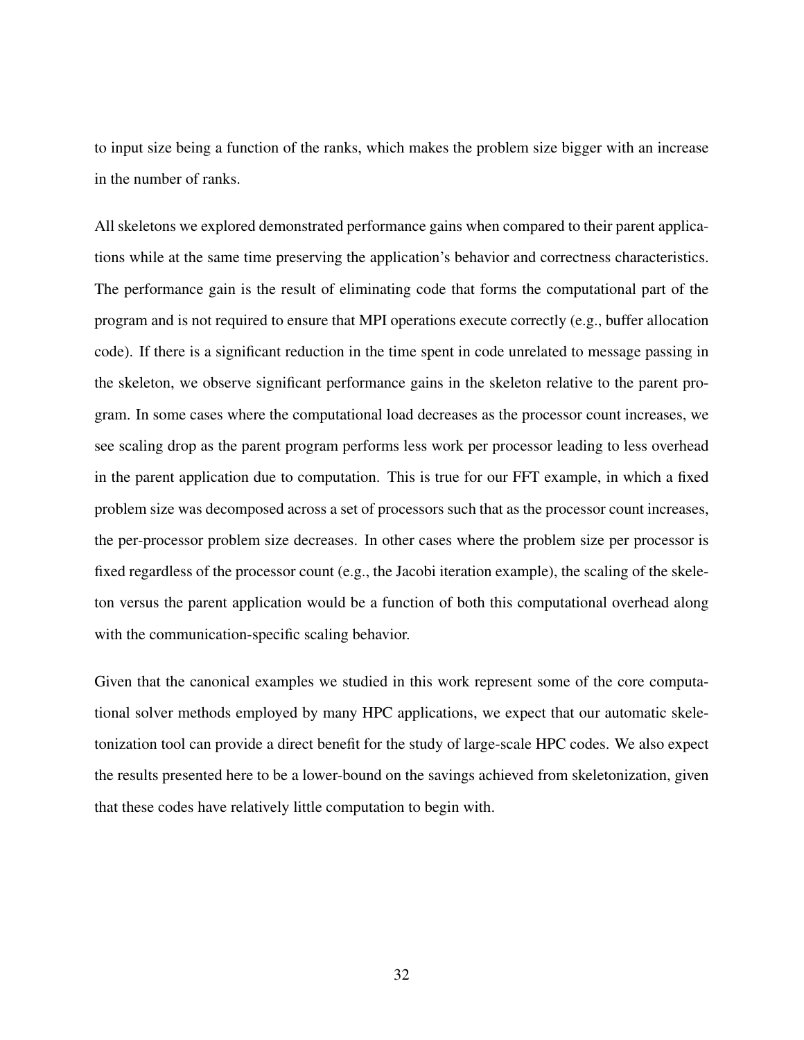to input size being a function of the ranks, which makes the problem size bigger with an increase in the number of ranks.

All skeletons we explored demonstrated performance gains when compared to their parent applications while at the same time preserving the application's behavior and correctness characteristics. The performance gain is the result of eliminating code that forms the computational part of the program and is not required to ensure that MPI operations execute correctly (e.g., buffer allocation code). If there is a significant reduction in the time spent in code unrelated to message passing in the skeleton, we observe significant performance gains in the skeleton relative to the parent program. In some cases where the computational load decreases as the processor count increases, we see scaling drop as the parent program performs less work per processor leading to less overhead in the parent application due to computation. This is true for our FFT example, in which a fixed problem size was decomposed across a set of processors such that as the processor count increases, the per-processor problem size decreases. In other cases where the problem size per processor is fixed regardless of the processor count (e.g., the Jacobi iteration example), the scaling of the skeleton versus the parent application would be a function of both this computational overhead along with the communication-specific scaling behavior.

Given that the canonical examples we studied in this work represent some of the core computational solver methods employed by many HPC applications, we expect that our automatic skeletonization tool can provide a direct benefit for the study of large-scale HPC codes. We also expect the results presented here to be a lower-bound on the savings achieved from skeletonization, given that these codes have relatively little computation to begin with.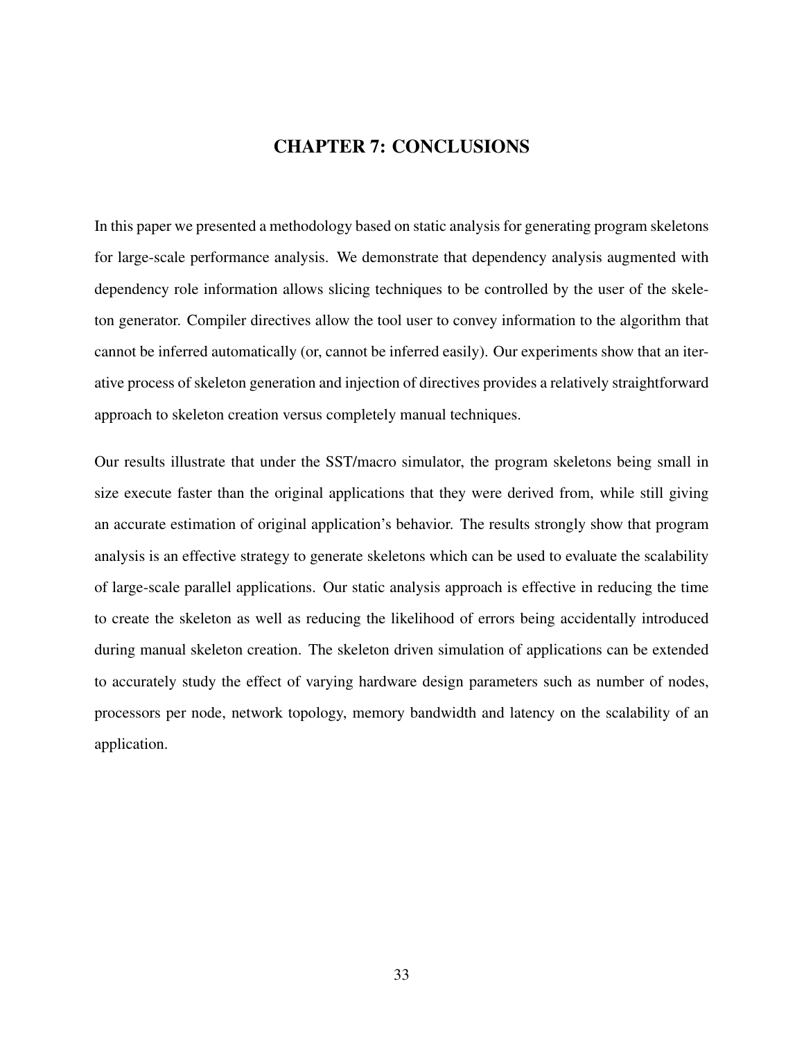# CHAPTER 7: CONCLUSIONS

<span id="page-40-0"></span>In this paper we presented a methodology based on static analysis for generating program skeletons for large-scale performance analysis. We demonstrate that dependency analysis augmented with dependency role information allows slicing techniques to be controlled by the user of the skeleton generator. Compiler directives allow the tool user to convey information to the algorithm that cannot be inferred automatically (or, cannot be inferred easily). Our experiments show that an iterative process of skeleton generation and injection of directives provides a relatively straightforward approach to skeleton creation versus completely manual techniques.

Our results illustrate that under the SST/macro simulator, the program skeletons being small in size execute faster than the original applications that they were derived from, while still giving an accurate estimation of original application's behavior. The results strongly show that program analysis is an effective strategy to generate skeletons which can be used to evaluate the scalability of large-scale parallel applications. Our static analysis approach is effective in reducing the time to create the skeleton as well as reducing the likelihood of errors being accidentally introduced during manual skeleton creation. The skeleton driven simulation of applications can be extended to accurately study the effect of varying hardware design parameters such as number of nodes, processors per node, network topology, memory bandwidth and latency on the scalability of an application.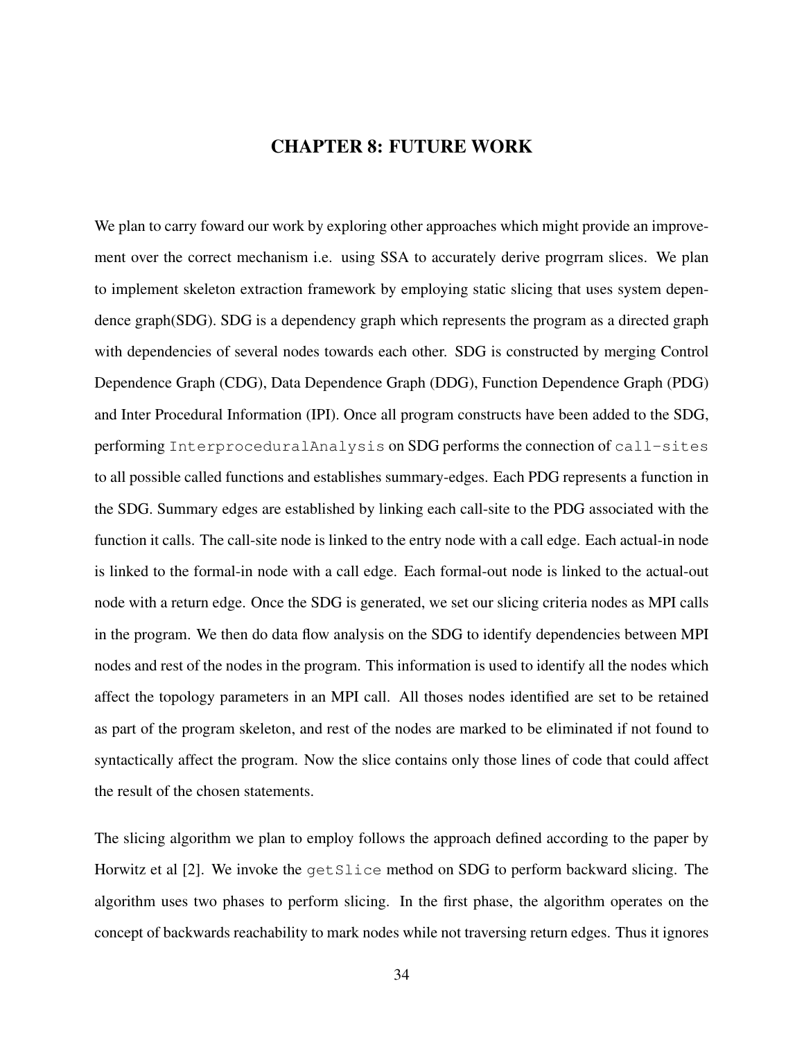## CHAPTER 8: FUTURE WORK

<span id="page-41-0"></span>We plan to carry foward our work by exploring other approaches which might provide an improvement over the correct mechanism i.e. using SSA to accurately derive progrram slices. We plan to implement skeleton extraction framework by employing static slicing that uses system dependence graph(SDG). SDG is a dependency graph which represents the program as a directed graph with dependencies of several nodes towards each other. SDG is constructed by merging Control Dependence Graph (CDG), Data Dependence Graph (DDG), Function Dependence Graph (PDG) and Inter Procedural Information (IPI). Once all program constructs have been added to the SDG, performing InterproceduralAnalysis on SDG performs the connection of call-sites to all possible called functions and establishes summary-edges. Each PDG represents a function in the SDG. Summary edges are established by linking each call-site to the PDG associated with the function it calls. The call-site node is linked to the entry node with a call edge. Each actual-in node is linked to the formal-in node with a call edge. Each formal-out node is linked to the actual-out node with a return edge. Once the SDG is generated, we set our slicing criteria nodes as MPI calls in the program. We then do data flow analysis on the SDG to identify dependencies between MPI nodes and rest of the nodes in the program. This information is used to identify all the nodes which affect the topology parameters in an MPI call. All thoses nodes identified are set to be retained as part of the program skeleton, and rest of the nodes are marked to be eliminated if not found to syntactically affect the program. Now the slice contains only those lines of code that could affect the result of the chosen statements.

The slicing algorithm we plan to employ follows the approach defined according to the paper by Horwitz et al [\[2\]](#page-43-5). We invoke the getSlice method on SDG to perform backward slicing. The algorithm uses two phases to perform slicing. In the first phase, the algorithm operates on the concept of backwards reachability to mark nodes while not traversing return edges. Thus it ignores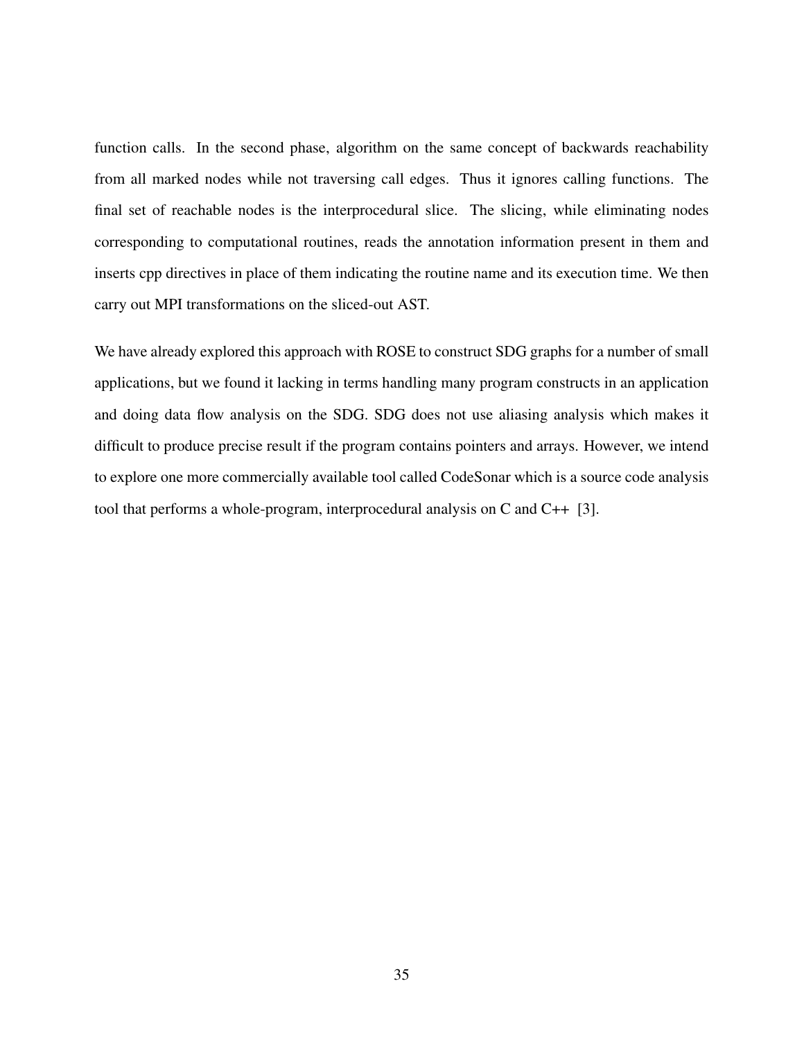function calls. In the second phase, algorithm on the same concept of backwards reachability from all marked nodes while not traversing call edges. Thus it ignores calling functions. The final set of reachable nodes is the interprocedural slice. The slicing, while eliminating nodes corresponding to computational routines, reads the annotation information present in them and inserts cpp directives in place of them indicating the routine name and its execution time. We then carry out MPI transformations on the sliced-out AST.

We have already explored this approach with ROSE to construct SDG graphs for a number of small applications, but we found it lacking in terms handling many program constructs in an application and doing data flow analysis on the SDG. SDG does not use aliasing analysis which makes it difficult to produce precise result if the program contains pointers and arrays. However, we intend to explore one more commercially available tool called CodeSonar which is a source code analysis tool that performs a whole-program, interprocedural analysis on C and C++ [\[3\]](#page-43-9).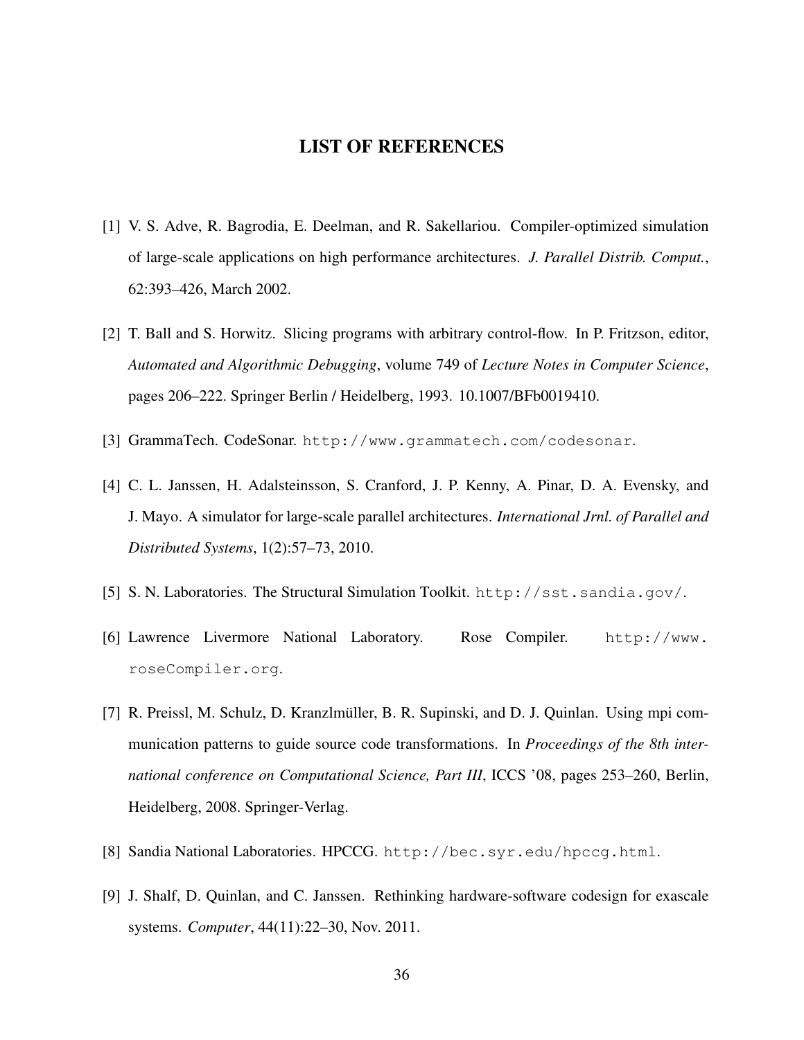## LIST OF REFERENCES

- <span id="page-43-3"></span><span id="page-43-0"></span>[1] V. S. Adve, R. Bagrodia, E. Deelman, and R. Sakellariou. Compiler-optimized simulation of large-scale applications on high performance architectures. *J. Parallel Distrib. Comput.*, 62:393–426, March 2002.
- <span id="page-43-5"></span>[2] T. Ball and S. Horwitz. Slicing programs with arbitrary control-flow. In P. Fritzson, editor, *Automated and Algorithmic Debugging*, volume 749 of *Lecture Notes in Computer Science*, pages 206–222. Springer Berlin / Heidelberg, 1993. 10.1007/BFb0019410.
- <span id="page-43-9"></span><span id="page-43-1"></span>[3] GrammaTech. CodeSonar. <http://www.grammatech.com/codesonar>.
- [4] C. L. Janssen, H. Adalsteinsson, S. Cranford, J. P. Kenny, A. Pinar, D. A. Evensky, and J. Mayo. A simulator for large-scale parallel architectures. *International Jrnl. of Parallel and Distributed Systems*, 1(2):57–73, 2010.
- <span id="page-43-7"></span><span id="page-43-6"></span>[5] S. N. Laboratories. The Structural Simulation Toolkit. <http://sst.sandia.gov/>.
- [6] Lawrence Livermore National Laboratory. Rose Compiler. [http://www.](http://www.roseCompiler.org) [roseCompiler.org](http://www.roseCompiler.org).
- <span id="page-43-4"></span>[7] R. Preissl, M. Schulz, D. Kranzlmüller, B. R. Supinski, and D. J. Quinlan. Using mpi communication patterns to guide source code transformations. In *Proceedings of the 8th international conference on Computational Science, Part III*, ICCS '08, pages 253–260, Berlin, Heidelberg, 2008. Springer-Verlag.
- <span id="page-43-8"></span><span id="page-43-2"></span>[8] Sandia National Laboratories. HPCCG. <http://bec.syr.edu/hpccg.html>.
- [9] J. Shalf, D. Quinlan, and C. Janssen. Rethinking hardware-software codesign for exascale systems. *Computer*, 44(11):22–30, Nov. 2011.